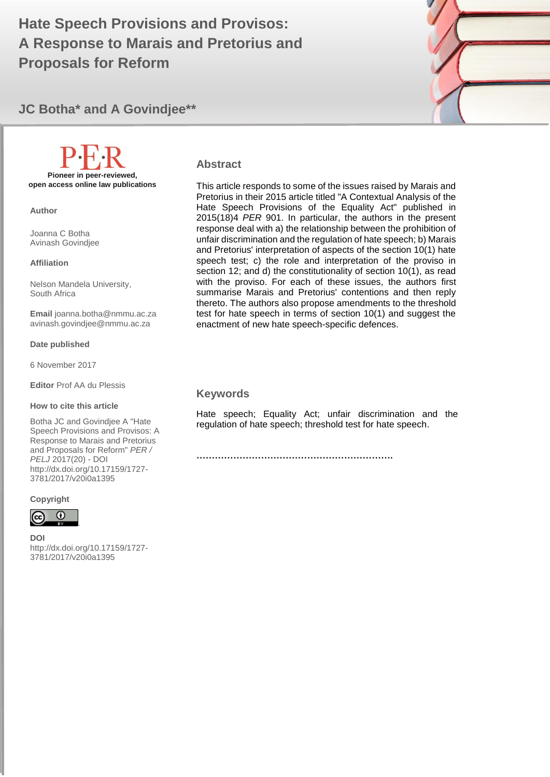# A Response to Marais and Pretorius and **A GOVIND 1999 Hate Speech Provisions and Provisos: Proposals for Reform**



**JC Botha\* and A Govindjee\*\***

# **Pioneer in peer-reviewed, open access online law publications**

**Author**

Joanna C Botha Avinash Govindjee

**Affiliation**

Nelson Mandela University, South Africa

**Email** joanna.botha@nmmu.ac.za avinash.govindjee@nmmu.ac.za

**Date published**

6 November 2017

**Editor** Prof AA du Plessis

#### **How to cite this article**

Botha JC and Govindjee A "Hate Speech Provisions and Provisos: A Response to Marais and Pretorius and Proposals for Reform" *PER / PELJ* 2017(20) - DOI http://dx.doi.org/10.17159/1727- 3781/2017/v20i0a1395

**Copyright**



**DOI**  http://dx.doi.org/10.17159/1727- 3781/2017/v20i0a1395

#### **Abstract**

This article responds to some of the issues raised by Marais and Pretorius in their 2015 article titled "A Contextual Analysis of the Hate Speech Provisions of the Equality Act" published in [2015\(18\)4](http://journals.assaf.org.za/per/article/view/607) *PER* 901. In particular, the authors in the present response deal with a) the relationship between the prohibition of unfair discrimination and the regulation of hate speech; b) Marais and Pretorius' interpretation of aspects of the section 10(1) hate speech test; c) the role and interpretation of the proviso in section 12; and d) the constitutionality of section 10(1), as read with the proviso. For each of these issues, the authors first summarise Marais and Pretorius' contentions and then reply thereto. The authors also propose amendments to the threshold test for hate speech in terms of section 10(1) and suggest the enactment of new hate speech-specific defences.

#### **Keywords**

Hate speech; Equality Act; unfair discrimination and the regulation of hate speech; threshold test for hate speech.

**……………………………………………………….**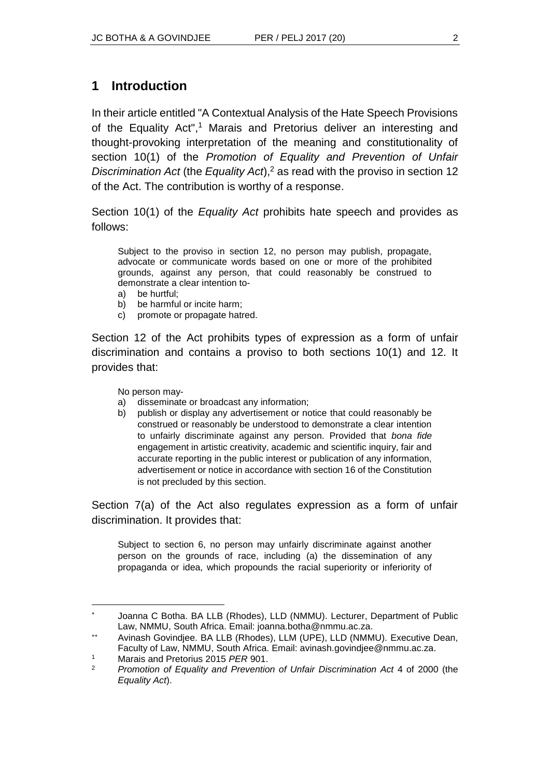### **1 Introduction**

In their article entitled "A Contextual Analysis of the Hate Speech Provisions of the Equality Act",<sup>1</sup> Marais and Pretorius deliver an interesting and thought-provoking interpretation of the meaning and constitutionality of section 10(1) of the *Promotion of Equality and Prevention of Unfair Discrimination Act* (the *Equality Act*),<sup>2</sup> as read with the proviso in section 12 of the Act. The contribution is worthy of a response.

Section 10(1) of the *Equality Act* prohibits hate speech and provides as follows:

Subject to the proviso in section 12, no person may publish, propagate, advocate or communicate words based on one or more of the prohibited grounds, against any person, that could reasonably be construed to demonstrate a clear intention to-

- a) be hurtful;
- b) be harmful or incite harm;
- c) promote or propagate hatred.

Section 12 of the Act prohibits types of expression as a form of unfair discrimination and contains a proviso to both sections 10(1) and 12. It provides that:

No person may-

- a) disseminate or broadcast any information;
- b) publish or display any advertisement or notice that could reasonably be construed or reasonably be understood to demonstrate a clear intention to unfairly discriminate against any person. Provided that *bona fide* engagement in artistic creativity, academic and scientific inquiry, fair and accurate reporting in the public interest or publication of any information, advertisement or notice in accordance with section 16 of the Constitution is not precluded by this section.

Section 7(a) of the Act also regulates expression as a form of unfair discrimination. It provides that:

Subject to section 6, no person may unfairly discriminate against another person on the grounds of race, including (a) the dissemination of any propaganda or idea, which propounds the racial superiority or inferiority of

l

Joanna C Botha. BA LLB (Rhodes), LLD (NMMU). Lecturer, Department of Public Law, NMMU, South Africa. Email: joanna.botha@nmmu.ac.za.

Avinash Govindjee. BA LLB (Rhodes), LLM (UPE), LLD (NMMU). Executive Dean, Faculty of Law, NMMU, South Africa. Email: avinash.govindjee@nmmu.ac.za.

<sup>1</sup> Marais and Pretorius 2015 *PER* 901.

<sup>2</sup> *Promotion of Equality and Prevention of Unfair Discrimination Act* 4 of 2000 (the *Equality Act*).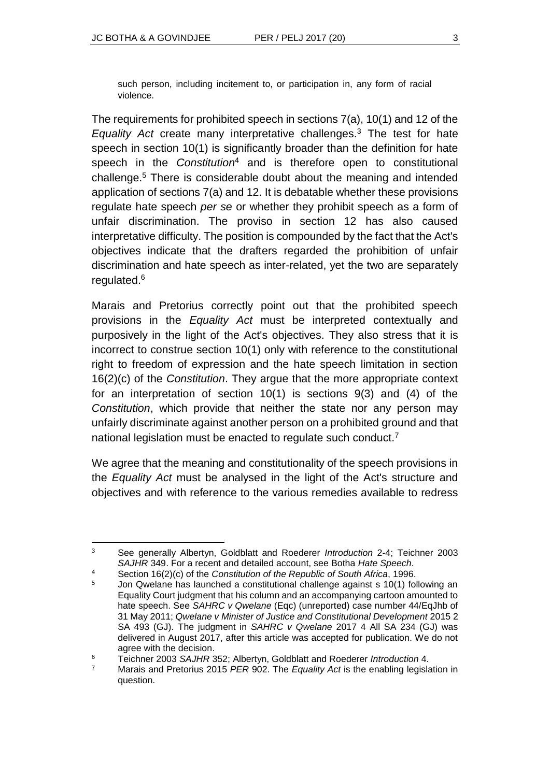such person, including incitement to, or participation in, any form of racial violence.

The requirements for prohibited speech in sections 7(a), 10(1) and 12 of the *Equality Act* create many interpretative challenges.<sup>3</sup> The test for hate speech in section 10(1) is significantly broader than the definition for hate speech in the *Constitution*<sup>4</sup> and is therefore open to constitutional challenge.<sup>5</sup> There is considerable doubt about the meaning and intended application of sections 7(a) and 12. It is debatable whether these provisions regulate hate speech *per se* or whether they prohibit speech as a form of unfair discrimination. The proviso in section 12 has also caused interpretative difficulty. The position is compounded by the fact that the Act's objectives indicate that the drafters regarded the prohibition of unfair discrimination and hate speech as inter-related, yet the two are separately regulated.<sup>6</sup>

Marais and Pretorius correctly point out that the prohibited speech provisions in the *Equality Act* must be interpreted contextually and purposively in the light of the Act's objectives. They also stress that it is incorrect to construe section 10(1) only with reference to the constitutional right to freedom of expression and the hate speech limitation in section 16(2)(c) of the *Constitution*. They argue that the more appropriate context for an interpretation of section 10(1) is sections 9(3) and (4) of the *Constitution*, which provide that neither the state nor any person may unfairly discriminate against another person on a prohibited ground and that national legislation must be enacted to regulate such conduct.<sup>7</sup>

We agree that the meaning and constitutionality of the speech provisions in the *Equality Act* must be analysed in the light of the Act's structure and objectives and with reference to the various remedies available to redress

l <sup>3</sup> See generally Albertyn, Goldblatt and Roederer *Introduction* 2-4; Teichner 2003 *SAJHR* 349. For a recent and detailed account, see Botha *Hate Speech*.

<sup>4</sup> Section 16(2)(c) of the *Constitution of the Republic of South Africa*, 1996.

<sup>&</sup>lt;sup>5</sup> Jon Qwelane has launched a constitutional challenge against s 10(1) following an Equality Court judgment that his column and an accompanying cartoon amounted to hate speech. See *SAHRC v Qwelane* (Eqc) (unreported) case number 44/EqJhb of 31 May 2011; *Qwelane v Minister of Justice and Constitutional Development* 2015 2 SA 493 (GJ). The judgment in *SAHRC v Qwelane* 2017 4 All SA 234 (GJ) was delivered in August 2017, after this article was accepted for publication. We do not agree with the decision.

<sup>6</sup> Teichner 2003 *SAJHR* 352; Albertyn, Goldblatt and Roederer *Introduction* 4.

<sup>7</sup> Marais and Pretorius 2015 *PER* 902. The *Equality Act* is the enabling legislation in question.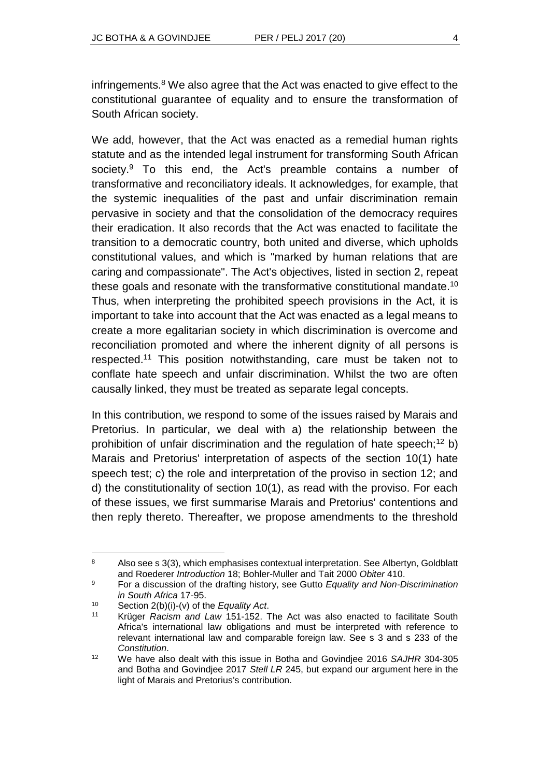infringements.<sup>8</sup> We also agree that the Act was enacted to give effect to the constitutional guarantee of equality and to ensure the transformation of South African society.

We add, however, that the Act was enacted as a remedial human rights statute and as the intended legal instrument for transforming South African society.<sup>9</sup> To this end, the Act's preamble contains a number of transformative and reconciliatory ideals. It acknowledges, for example, that the systemic inequalities of the past and unfair discrimination remain pervasive in society and that the consolidation of the democracy requires their eradication. It also records that the Act was enacted to facilitate the transition to a democratic country, both united and diverse, which upholds constitutional values, and which is "marked by human relations that are caring and compassionate". The Act's objectives, listed in section 2, repeat these goals and resonate with the transformative constitutional mandate.<sup>10</sup> Thus, when interpreting the prohibited speech provisions in the Act, it is important to take into account that the Act was enacted as a legal means to create a more egalitarian society in which discrimination is overcome and reconciliation promoted and where the inherent dignity of all persons is respected.<sup>11</sup> This position notwithstanding, care must be taken not to conflate hate speech and unfair discrimination. Whilst the two are often causally linked, they must be treated as separate legal concepts.

In this contribution, we respond to some of the issues raised by Marais and Pretorius. In particular, we deal with a) the relationship between the prohibition of unfair discrimination and the regulation of hate speech;<sup>12</sup> b) Marais and Pretorius' interpretation of aspects of the section 10(1) hate speech test; c) the role and interpretation of the proviso in section 12; and d) the constitutionality of section 10(1), as read with the proviso. For each of these issues, we first summarise Marais and Pretorius' contentions and then reply thereto. Thereafter, we propose amendments to the threshold

 $\overline{a}$ 

<sup>8</sup> Also see s 3(3), which emphasises contextual interpretation. See Albertyn, Goldblatt and Roederer *Introduction* 18; Bohler-Muller and Tait 2000 *Obiter* 410.

<sup>9</sup> For a discussion of the drafting history, see Gutto *Equality and Non-Discrimination in South Africa* 17-95.

<sup>10</sup> Section 2(b)(i)-(v) of the *Equality Act*.

<sup>11</sup> Krüger *Racism and Law* 151-152. The Act was also enacted to facilitate South Africa's international law obligations and must be interpreted with reference to relevant international law and comparable foreign law. See s 3 and s 233 of the *Constitution*.

<sup>12</sup> We have also dealt with this issue in Botha and Govindjee 2016 *SAJHR* 304-305 and Botha and Govindjee 2017 *Stell LR* 245, but expand our argument here in the light of Marais and Pretorius's contribution.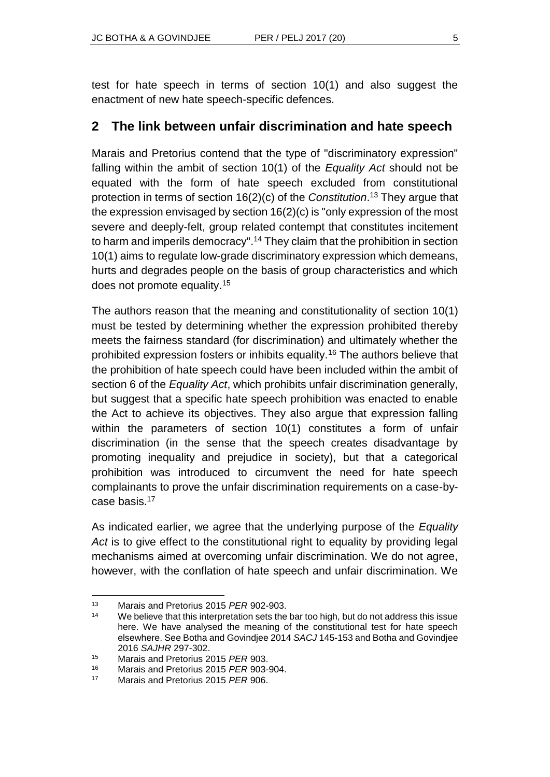test for hate speech in terms of section 10(1) and also suggest the enactment of new hate speech-specific defences.

### **2 The link between unfair discrimination and hate speech**

Marais and Pretorius contend that the type of "discriminatory expression" falling within the ambit of section 10(1) of the *Equality Act* should not be equated with the form of hate speech excluded from constitutional protection in terms of section 16(2)(c) of the *Constitution*. <sup>13</sup> They argue that the expression envisaged by section 16(2)(c) is "only expression of the most severe and deeply-felt, group related contempt that constitutes incitement to harm and imperils democracy".<sup>14</sup> They claim that the prohibition in section 10(1) aims to regulate low-grade discriminatory expression which demeans, hurts and degrades people on the basis of group characteristics and which does not promote equality.<sup>15</sup>

The authors reason that the meaning and constitutionality of section 10(1) must be tested by determining whether the expression prohibited thereby meets the fairness standard (for discrimination) and ultimately whether the prohibited expression fosters or inhibits equality.<sup>16</sup> The authors believe that the prohibition of hate speech could have been included within the ambit of section 6 of the *Equality Act*, which prohibits unfair discrimination generally, but suggest that a specific hate speech prohibition was enacted to enable the Act to achieve its objectives. They also argue that expression falling within the parameters of section 10(1) constitutes a form of unfair discrimination (in the sense that the speech creates disadvantage by promoting inequality and prejudice in society), but that a categorical prohibition was introduced to circumvent the need for hate speech complainants to prove the unfair discrimination requirements on a case-bycase basis.<sup>17</sup>

As indicated earlier, we agree that the underlying purpose of the *Equality Act* is to give effect to the constitutional right to equality by providing legal mechanisms aimed at overcoming unfair discrimination. We do not agree, however, with the conflation of hate speech and unfair discrimination. We

l <sup>13</sup> Marais and Pretorius 2015 *PER* 902-903.

<sup>&</sup>lt;sup>14</sup> We believe that this interpretation sets the bar too high, but do not address this issue here. We have analysed the meaning of the constitutional test for hate speech elsewhere. See Botha and Govindjee 2014 *SACJ* 145-153 and Botha and Govindjee 2016 *SAJHR* 297-302.

<sup>15</sup> Marais and Pretorius 2015 *PER* 903.

<sup>16</sup> Marais and Pretorius 2015 *PER* 903-904.

<sup>17</sup> Marais and Pretorius 2015 *PER* 906.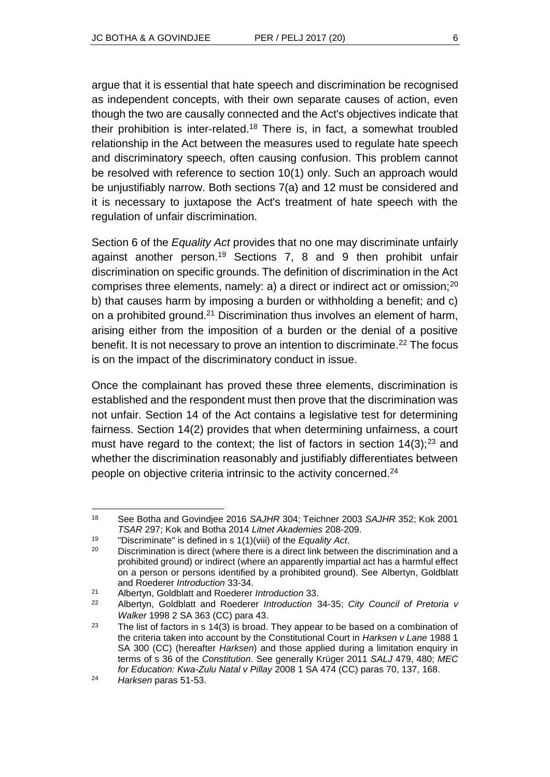argue that it is essential that hate speech and discrimination be recognised as independent concepts, with their own separate causes of action, even though the two are causally connected and the Act's objectives indicate that their prohibition is inter-related.<sup>18</sup> There is, in fact, a somewhat troubled relationship in the Act between the measures used to regulate hate speech and discriminatory speech, often causing confusion. This problem cannot be resolved with reference to section 10(1) only. Such an approach would be unjustifiably narrow. Both sections 7(a) and 12 must be considered and it is necessary to juxtapose the Act's treatment of hate speech with the regulation of unfair discrimination.

Section 6 of the *Equality Act* provides that no one may discriminate unfairly against another person.<sup>19</sup> Sections 7, 8 and 9 then prohibit unfair discrimination on specific grounds. The definition of discrimination in the Act comprises three elements, namely: a) a direct or indirect act or omission;<sup>20</sup> b) that causes harm by imposing a burden or withholding a benefit; and c) on a prohibited ground.<sup>21</sup> Discrimination thus involves an element of harm, arising either from the imposition of a burden or the denial of a positive benefit. It is not necessary to prove an intention to discriminate.<sup>22</sup> The focus is on the impact of the discriminatory conduct in issue.

Once the complainant has proved these three elements, discrimination is established and the respondent must then prove that the discrimination was not unfair. Section 14 of the Act contains a legislative test for determining fairness. Section 14(2) provides that when determining unfairness, a court must have regard to the context; the list of factors in section  $14(3)$ ;  $23$  and whether the discrimination reasonably and justifiably differentiates between people on objective criteria intrinsic to the activity concerned.<sup>24</sup>

l <sup>18</sup> See Botha and Govindjee 2016 *SAJHR* 304; Teichner 2003 *SAJHR* 352; Kok 2001 *TSAR* 297; Kok and Botha 2014 *Litnet Akademies* 208-209.

<sup>19</sup> "Discriminate" is defined in s 1(1)(viii) of the *Equality Act*.

<sup>&</sup>lt;sup>20</sup> Discrimination is direct (where there is a direct link between the discrimination and a prohibited ground) or indirect (where an apparently impartial act has a harmful effect on a person or persons identified by a prohibited ground). See Albertyn, Goldblatt and Roederer *Introduction* 33-34.

<sup>21</sup> Albertyn, Goldblatt and Roederer *Introduction* 33.

<sup>22</sup> Albertyn, Goldblatt and Roederer *Introduction* 34-35; *City Council of Pretoria v Walker* 1998 2 SA 363 (CC) para 43.

<sup>&</sup>lt;sup>23</sup> The list of factors in s 14(3) is broad. They appear to be based on a combination of the criteria taken into account by the Constitutional Court in *Harksen v Lane* 1988 1 SA 300 (CC) (hereafter *Harksen*) and those applied during a limitation enquiry in terms of s 36 of the *Constitution*. See generally Krüger 2011 *SALJ* 479, 480; *MEC for Education: Kwa-Zulu Natal v Pillay* 2008 1 SA 474 (CC) paras 70, 137, 168.

<sup>24</sup> *Harksen* paras 51-53.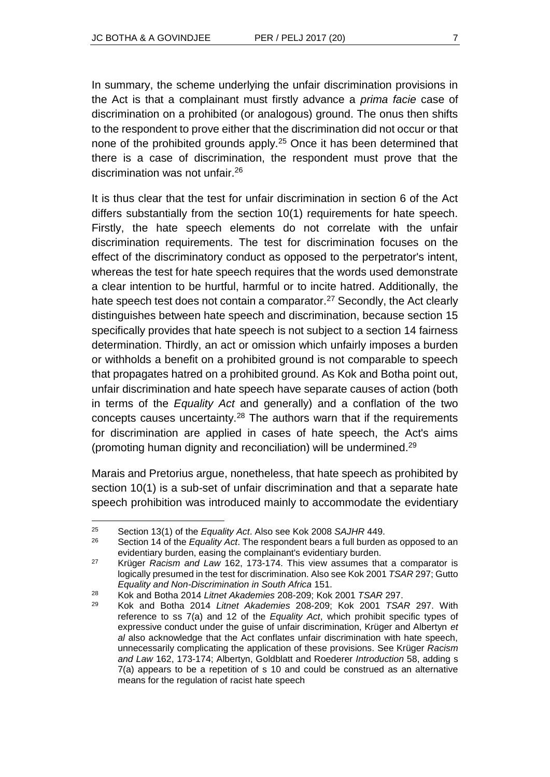In summary, the scheme underlying the unfair discrimination provisions in the Act is that a complainant must firstly advance a *prima facie* case of discrimination on a prohibited (or analogous) ground. The onus then shifts to the respondent to prove either that the discrimination did not occur or that none of the prohibited grounds apply.<sup>25</sup> Once it has been determined that there is a case of discrimination, the respondent must prove that the discrimination was not unfair.<sup>26</sup>

It is thus clear that the test for unfair discrimination in section 6 of the Act differs substantially from the section 10(1) requirements for hate speech. Firstly, the hate speech elements do not correlate with the unfair discrimination requirements. The test for discrimination focuses on the effect of the discriminatory conduct as opposed to the perpetrator's intent, whereas the test for hate speech requires that the words used demonstrate a clear intention to be hurtful, harmful or to incite hatred. Additionally, the hate speech test does not contain a comparator.<sup>27</sup> Secondly, the Act clearly distinguishes between hate speech and discrimination, because section 15 specifically provides that hate speech is not subject to a section 14 fairness determination. Thirdly, an act or omission which unfairly imposes a burden or withholds a benefit on a prohibited ground is not comparable to speech that propagates hatred on a prohibited ground. As Kok and Botha point out, unfair discrimination and hate speech have separate causes of action (both in terms of the *Equality Act* and generally) and a conflation of the two concepts causes uncertainty.<sup>28</sup> The authors warn that if the requirements for discrimination are applied in cases of hate speech, the Act's aims (promoting human dignity and reconciliation) will be undermined.<sup>29</sup>

Marais and Pretorius argue, nonetheless, that hate speech as prohibited by section 10(1) is a sub-set of unfair discrimination and that a separate hate speech prohibition was introduced mainly to accommodate the evidentiary

l

<sup>25</sup> Section 13(1) of the *Equality Act*. Also see Kok 2008 *SAJHR* 449.

<sup>26</sup> Section 14 of the *Equality Act*. The respondent bears a full burden as opposed to an evidentiary burden, easing the complainant's evidentiary burden.

<sup>27</sup> Krüger *Racism and Law* 162, 173-174. This view assumes that a comparator is logically presumed in the test for discrimination. Also see Kok 2001 *TSAR* 297; Gutto *Equality and Non-Discrimination in South Africa* 151.

<sup>28</sup> Kok and Botha 2014 *Litnet Akademies* 208-209; Kok 2001 *TSAR* 297.

<sup>29</sup> Kok and Botha 2014 *Litnet Akademies* 208-209; Kok 2001 *TSAR* 297. With reference to ss 7(a) and 12 of the *Equality Act*, which prohibit specific types of expressive conduct under the guise of unfair discrimination, Krüger and Albertyn *et al* also acknowledge that the Act conflates unfair discrimination with hate speech, unnecessarily complicating the application of these provisions. See Krüger *Racism and Law* 162, 173-174; Albertyn, Goldblatt and Roederer *Introduction* 58, adding s 7(a) appears to be a repetition of s 10 and could be construed as an alternative means for the regulation of racist hate speech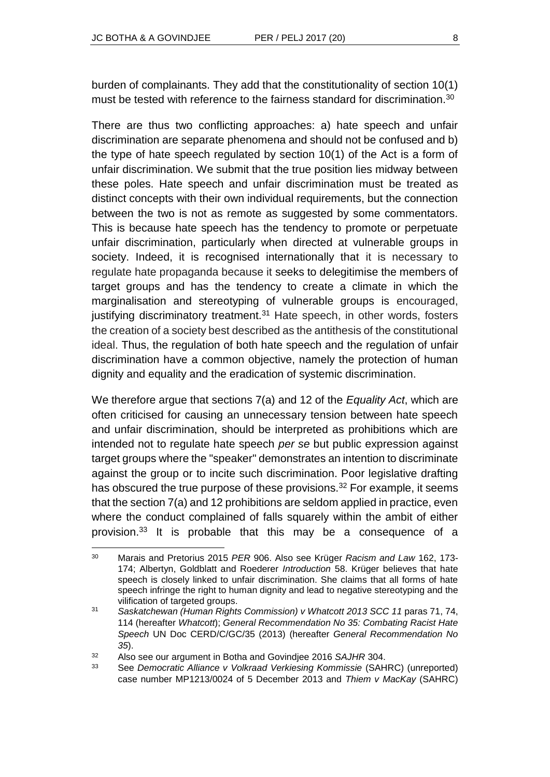burden of complainants. They add that the constitutionality of section 10(1) must be tested with reference to the fairness standard for discrimination.<sup>30</sup>

There are thus two conflicting approaches: a) hate speech and unfair discrimination are separate phenomena and should not be confused and b) the type of hate speech regulated by section 10(1) of the Act is a form of unfair discrimination. We submit that the true position lies midway between these poles. Hate speech and unfair discrimination must be treated as distinct concepts with their own individual requirements, but the connection between the two is not as remote as suggested by some commentators. This is because hate speech has the tendency to promote or perpetuate unfair discrimination, particularly when directed at vulnerable groups in society. Indeed, it is recognised internationally that it is necessary to regulate hate propaganda because it seeks to delegitimise the members of target groups and has the tendency to create a climate in which the marginalisation and stereotyping of vulnerable groups is encouraged, justifying discriminatory treatment.<sup>31</sup> Hate speech, in other words, fosters the creation of a society best described as the antithesis of the constitutional ideal. Thus, the regulation of both hate speech and the regulation of unfair discrimination have a common objective, namely the protection of human dignity and equality and the eradication of systemic discrimination.

We therefore argue that sections 7(a) and 12 of the *Equality Act*, which are often criticised for causing an unnecessary tension between hate speech and unfair discrimination, should be interpreted as prohibitions which are intended not to regulate hate speech *per se* but public expression against target groups where the "speaker" demonstrates an intention to discriminate against the group or to incite such discrimination. Poor legislative drafting has obscured the true purpose of these provisions.<sup>32</sup> For example, it seems that the section 7(a) and 12 prohibitions are seldom applied in practice, even where the conduct complained of falls squarely within the ambit of either provision.<sup>33</sup> It is probable that this may be a consequence of a

l <sup>30</sup> Marais and Pretorius 2015 *PER* 906. Also see Krüger *Racism and Law* 162, 173- 174; Albertyn, Goldblatt and Roederer *Introduction* 58. Krüger believes that hate speech is closely linked to unfair discrimination. She claims that all forms of hate speech infringe the right to human dignity and lead to negative stereotyping and the vilification of targeted groups.

<sup>31</sup> *Saskatchewan (Human Rights Commission) v Whatcott 2013 SCC 11* paras 71, 74, 114 (hereafter *Whatcott*); *General Recommendation No 35: Combating Racist Hate Speech* UN Doc CERD/C/GC/35 (2013) (hereafter *General Recommendation No 35*).

<sup>32</sup> Also see our argument in Botha and Govindjee 2016 *SAJHR* 304.

<sup>33</sup> See *Democratic Alliance v Volkraad Verkiesing Kommissie* (SAHRC) (unreported) case number MP1213/0024 of 5 December 2013 and *Thiem v MacKay* (SAHRC)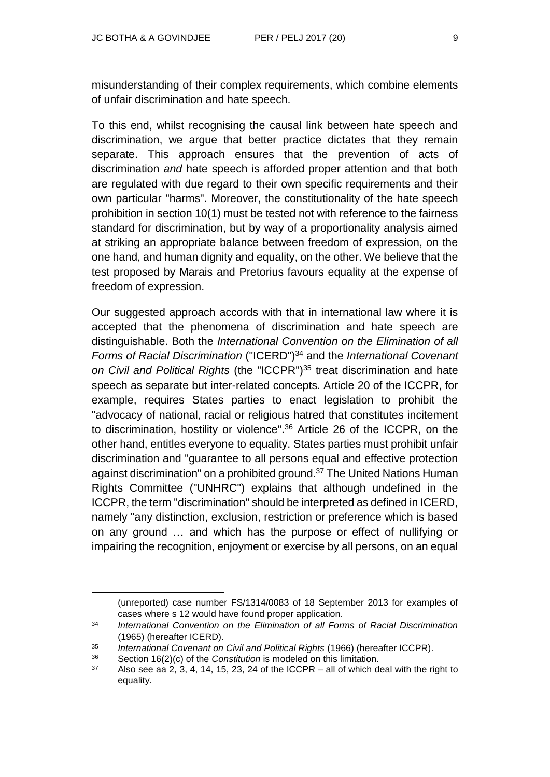misunderstanding of their complex requirements, which combine elements of unfair discrimination and hate speech.

To this end, whilst recognising the causal link between hate speech and discrimination, we argue that better practice dictates that they remain separate. This approach ensures that the prevention of acts of discrimination *and* hate speech is afforded proper attention and that both are regulated with due regard to their own specific requirements and their own particular "harms". Moreover, the constitutionality of the hate speech prohibition in section 10(1) must be tested not with reference to the fairness standard for discrimination, but by way of a proportionality analysis aimed at striking an appropriate balance between freedom of expression, on the one hand, and human dignity and equality, on the other. We believe that the test proposed by Marais and Pretorius favours equality at the expense of freedom of expression.

Our suggested approach accords with that in international law where it is accepted that the phenomena of discrimination and hate speech are distinguishable. Both the *International Convention on the Elimination of all Forms of Racial Discrimination* ("ICERD")<sup>34</sup> and the *International Covenant on Civil and Political Rights* (the "ICCPR")<sup>35</sup> treat discrimination and hate speech as separate but inter-related concepts. Article 20 of the ICCPR, for example, requires States parties to enact legislation to prohibit the "advocacy of national, racial or religious hatred that constitutes incitement to discrimination, hostility or violence".<sup>36</sup> Article 26 of the ICCPR, on the other hand, entitles everyone to equality. States parties must prohibit unfair discrimination and "guarantee to all persons equal and effective protection against discrimination" on a prohibited ground.<sup>37</sup> The United Nations Human Rights Committee ("UNHRC") explains that although undefined in the ICCPR, the term "discrimination" should be interpreted as defined in ICERD, namely "any distinction, exclusion, restriction or preference which is based on any ground … and which has the purpose or effect of nullifying or impairing the recognition, enjoyment or exercise by all persons, on an equal

 $\overline{a}$ 

<sup>(</sup>unreported) case number FS/1314/0083 of 18 September 2013 for examples of cases where s 12 would have found proper application.

<sup>34</sup> *International Convention on the Elimination of all Forms of Racial Discrimination* (1965) (hereafter ICERD).

<sup>35</sup> *International Covenant on Civil and Political Rights* (1966) (hereafter ICCPR).

<sup>36</sup> Section 16(2)(c) of the *Constitution* is modeled on this limitation.

 $37$  Also see aa 2, 3, 4, 14, 15, 23, 24 of the ICCPR – all of which deal with the right to equality.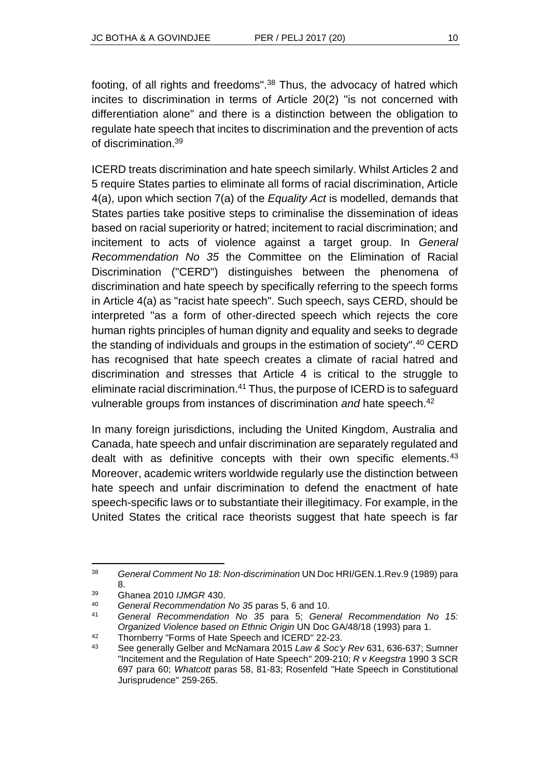footing, of all rights and freedoms".<sup>38</sup> Thus, the advocacy of hatred which incites to discrimination in terms of Article 20(2) "is not concerned with differentiation alone" and there is a distinction between the obligation to regulate hate speech that incites to discrimination and the prevention of acts of discrimination.<sup>39</sup>

ICERD treats discrimination and hate speech similarly. Whilst Articles 2 and 5 require States parties to eliminate all forms of racial discrimination, Article 4(a), upon which section 7(a) of the *Equality Act* is modelled, demands that States parties take positive steps to criminalise the dissemination of ideas based on racial superiority or hatred; incitement to racial discrimination; and incitement to acts of violence against a target group. In *General Recommendation No 35* the Committee on the Elimination of Racial Discrimination ("CERD") distinguishes between the phenomena of discrimination and hate speech by specifically referring to the speech forms in Article 4(a) as "racist hate speech". Such speech, says CERD, should be interpreted "as a form of other-directed speech which rejects the core human rights principles of human dignity and equality and seeks to degrade the standing of individuals and groups in the estimation of society".<sup>40</sup> CERD has recognised that hate speech creates a climate of racial hatred and discrimination and stresses that Article 4 is critical to the struggle to eliminate racial discrimination.<sup>41</sup> Thus, the purpose of ICERD is to safeguard vulnerable groups from instances of discrimination *and* hate speech.<sup>42</sup>

In many foreign jurisdictions, including the United Kingdom, Australia and Canada, hate speech and unfair discrimination are separately regulated and dealt with as definitive concepts with their own specific elements.<sup>43</sup> Moreover, academic writers worldwide regularly use the distinction between hate speech and unfair discrimination to defend the enactment of hate speech-specific laws or to substantiate their illegitimacy. For example, in the United States the critical race theorists suggest that hate speech is far

l

<sup>38</sup> *General Comment No 18: Non-discrimination* UN Doc HRI/GEN.1.Rev.9 (1989) para 8.

<sup>39</sup> Ghanea 2010 *IJMGR* 430.

<sup>40</sup> *General Recommendation No 35* paras 5, 6 and 10.

<sup>41</sup> *General Recommendation No 35* para 5; *General Recommendation No 15: Organized Violence based on Ethnic Origin* UN Doc GA/48/18 (1993) para 1. <sup>42</sup> Thornberry "Forms of Hate Speech and ICERD" 22-23.

<sup>43</sup> See generally Gelber and McNamara 2015 *Law & Soc'y Rev* 631, 636-637; Sumner "Incitement and the Regulation of Hate Speech" 209-210; *R v Keegstra* 1990 3 SCR 697 para 60; *Whatcott* paras 58, 81-83; Rosenfeld "Hate Speech in Constitutional Jurisprudence" 259-265.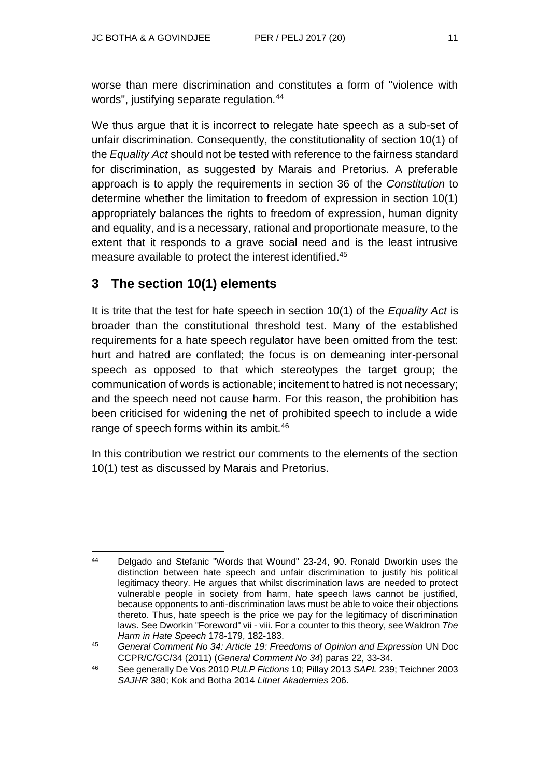worse than mere discrimination and constitutes a form of "violence with words", justifying separate regulation.<sup>44</sup>

We thus argue that it is incorrect to relegate hate speech as a sub-set of unfair discrimination. Consequently, the constitutionality of section 10(1) of the *Equality Act* should not be tested with reference to the fairness standard for discrimination, as suggested by Marais and Pretorius. A preferable approach is to apply the requirements in section 36 of the *Constitution* to determine whether the limitation to freedom of expression in section 10(1) appropriately balances the rights to freedom of expression, human dignity and equality, and is a necessary, rational and proportionate measure, to the extent that it responds to a grave social need and is the least intrusive measure available to protect the interest identified.<sup>45</sup>

# **3 The section 10(1) elements**

It is trite that the test for hate speech in section 10(1) of the *Equality Act* is broader than the constitutional threshold test. Many of the established requirements for a hate speech regulator have been omitted from the test: hurt and hatred are conflated; the focus is on demeaning inter-personal speech as opposed to that which stereotypes the target group; the communication of words is actionable; incitement to hatred is not necessary; and the speech need not cause harm. For this reason, the prohibition has been criticised for widening the net of prohibited speech to include a wide range of speech forms within its ambit.<sup>46</sup>

In this contribution we restrict our comments to the elements of the section 10(1) test as discussed by Marais and Pretorius.

l <sup>44</sup> Delgado and Stefanic "Words that Wound" 23-24, 90. Ronald Dworkin uses the distinction between hate speech and unfair discrimination to justify his political legitimacy theory. He argues that whilst discrimination laws are needed to protect vulnerable people in society from harm, hate speech laws cannot be justified, because opponents to anti-discrimination laws must be able to voice their objections thereto. Thus, hate speech is the price we pay for the legitimacy of discrimination laws. See Dworkin "Foreword" vii - viii. For a counter to this theory, see Waldron *The Harm in Hate Speech* 178-179, 182-183.

<sup>45</sup> *General Comment No 34: Article 19: Freedoms of Opinion and Expression* UN Doc CCPR/C/GC/34 (2011) (*General Comment No 34*) paras 22, 33-34.

<sup>46</sup> See generally De Vos 2010 *PULP Fictions* 10; Pillay 2013 *SAPL* 239; Teichner 2003 *SAJHR* 380; Kok and Botha 2014 *Litnet Akademies* 206.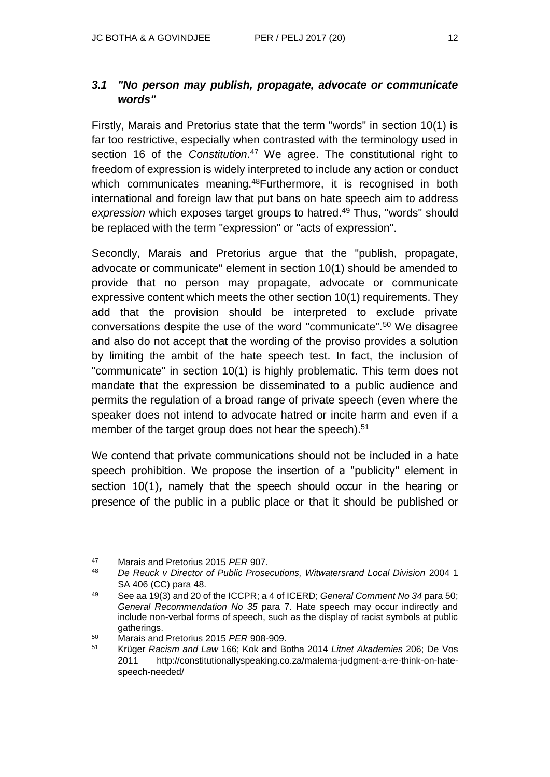#### *3.1 "No person may publish, propagate, advocate or communicate words"*

Firstly, Marais and Pretorius state that the term "words" in section 10(1) is far too restrictive, especially when contrasted with the terminology used in section 16 of the *Constitution*.<sup>47</sup> We agree. The constitutional right to freedom of expression is widely interpreted to include any action or conduct which communicates meaning.<sup>48</sup>Furthermore, it is recognised in both international and foreign law that put bans on hate speech aim to address *expression* which exposes target groups to hatred.<sup>49</sup> Thus, "words" should be replaced with the term "expression" or "acts of expression".

Secondly, Marais and Pretorius argue that the "publish, propagate, advocate or communicate" element in section 10(1) should be amended to provide that no person may propagate, advocate or communicate expressive content which meets the other section 10(1) requirements. They add that the provision should be interpreted to exclude private conversations despite the use of the word "communicate".<sup>50</sup> We disagree and also do not accept that the wording of the proviso provides a solution by limiting the ambit of the hate speech test. In fact, the inclusion of "communicate" in section 10(1) is highly problematic. This term does not mandate that the expression be disseminated to a public audience and permits the regulation of a broad range of private speech (even where the speaker does not intend to advocate hatred or incite harm and even if a member of the target group does not hear the speech).<sup>51</sup>

We contend that private communications should not be included in a hate speech prohibition. We propose the insertion of a "publicity" element in section 10(1), namely that the speech should occur in the hearing or presence of the public in a public place or that it should be published or

l <sup>47</sup> Marais and Pretorius 2015 *PER* 907.

<sup>48</sup> *De Reuck v Director of Public Prosecutions, Witwatersrand Local Division* 2004 1 SA 406 (CC) para 48.

<sup>49</sup> See aa 19(3) and 20 of the ICCPR; a 4 of ICERD; *General Comment No 34* para 50; *General Recommendation No 35* para 7. Hate speech may occur indirectly and include non-verbal forms of speech, such as the display of racist symbols at public gatherings.

<sup>50</sup> Marais and Pretorius 2015 *PER* 908-909.

<sup>51</sup> Krüger *Racism and Law* 166; Kok and Botha 2014 *Litnet Akademies* 206; De Vos 2011 http://constitutionallyspeaking.co.za/malema-judgment-a-re-think-on-hatespeech-needed/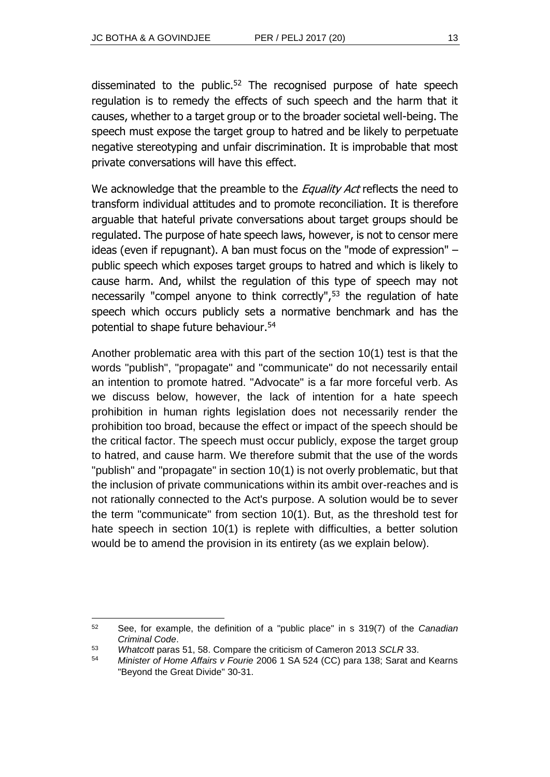disseminated to the public. $52$  The recognised purpose of hate speech regulation is to remedy the effects of such speech and the harm that it causes, whether to a target group or to the broader societal well-being. The speech must expose the target group to hatred and be likely to perpetuate negative stereotyping and unfair discrimination. It is improbable that most private conversations will have this effect.

We acknowledge that the preamble to the *Equality Act* reflects the need to transform individual attitudes and to promote reconciliation. It is therefore arguable that hateful private conversations about target groups should be regulated. The purpose of hate speech laws, however, is not to censor mere ideas (even if repugnant). A ban must focus on the "mode of expression" – public speech which exposes target groups to hatred and which is likely to cause harm. And, whilst the regulation of this type of speech may not necessarily "compel anyone to think correctly",<sup>53</sup> the regulation of hate speech which occurs publicly sets a normative benchmark and has the potential to shape future behaviour.<sup>54</sup>

Another problematic area with this part of the section 10(1) test is that the words "publish", "propagate" and "communicate" do not necessarily entail an intention to promote hatred. "Advocate" is a far more forceful verb. As we discuss below, however, the lack of intention for a hate speech prohibition in human rights legislation does not necessarily render the prohibition too broad, because the effect or impact of the speech should be the critical factor. The speech must occur publicly, expose the target group to hatred, and cause harm. We therefore submit that the use of the words "publish" and "propagate" in section 10(1) is not overly problematic, but that the inclusion of private communications within its ambit over-reaches and is not rationally connected to the Act's purpose. A solution would be to sever the term "communicate" from section 10(1). But, as the threshold test for hate speech in section 10(1) is replete with difficulties, a better solution would be to amend the provision in its entirety (as we explain below).

l <sup>52</sup> See, for example, the definition of a "public place" in s 319(7) of the *Canadian Criminal Code*.

<sup>53</sup> *Whatcott* paras 51, 58. Compare the criticism of Cameron 2013 *SCLR* 33.

<sup>54</sup> *Minister of Home Affairs v Fourie* 2006 1 SA 524 (CC) para 138; Sarat and Kearns "Beyond the Great Divide" 30-31.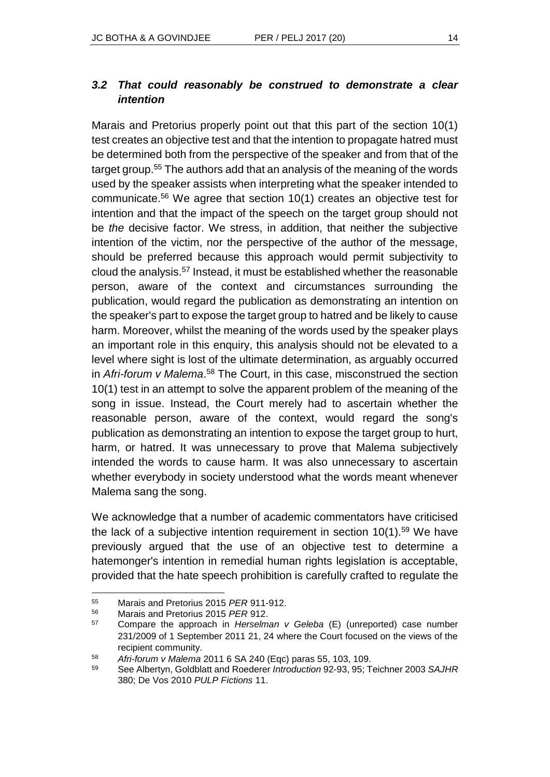### *3.2 That could reasonably be construed to demonstrate a clear intention*

Marais and Pretorius properly point out that this part of the section 10(1) test creates an objective test and that the intention to propagate hatred must be determined both from the perspective of the speaker and from that of the target group.<sup>55</sup> The authors add that an analysis of the meaning of the words used by the speaker assists when interpreting what the speaker intended to communicate.<sup>56</sup> We agree that section 10(1) creates an objective test for intention and that the impact of the speech on the target group should not be *the* decisive factor. We stress, in addition, that neither the subjective intention of the victim, nor the perspective of the author of the message, should be preferred because this approach would permit subjectivity to cloud the analysis.<sup>57</sup> Instead, it must be established whether the reasonable person, aware of the context and circumstances surrounding the publication, would regard the publication as demonstrating an intention on the speaker's part to expose the target group to hatred and be likely to cause harm. Moreover, whilst the meaning of the words used by the speaker plays an important role in this enquiry, this analysis should not be elevated to a level where sight is lost of the ultimate determination, as arguably occurred in *Afri-forum v Malema*. <sup>58</sup> The Court, in this case, misconstrued the section 10(1) test in an attempt to solve the apparent problem of the meaning of the song in issue. Instead, the Court merely had to ascertain whether the reasonable person, aware of the context, would regard the song's publication as demonstrating an intention to expose the target group to hurt, harm, or hatred. It was unnecessary to prove that Malema subjectively intended the words to cause harm. It was also unnecessary to ascertain whether everybody in society understood what the words meant whenever Malema sang the song.

We acknowledge that a number of academic commentators have criticised the lack of a subjective intention requirement in section  $10(1)$ .<sup>59</sup> We have previously argued that the use of an objective test to determine a hatemonger's intention in remedial human rights legislation is acceptable, provided that the hate speech prohibition is carefully crafted to regulate the

<sup>55</sup> <sup>55</sup> Marais and Pretorius 2015 *PER* 911-912.

<sup>56</sup> Marais and Pretorius 2015 *PER* 912.

<sup>57</sup> Compare the approach in *Herselman v Geleba* (E) (unreported) case number 231/2009 of 1 September 2011 21, 24 where the Court focused on the views of the recipient community.

<sup>58</sup> *Afri-forum v Malema* 2011 6 SA 240 (Eqc) paras 55, 103, 109.

<sup>59</sup> See Albertyn, Goldblatt and Roederer *Introduction* 92-93, 95; Teichner 2003 *SAJHR* 380; De Vos 2010 *PULP Fictions* 11.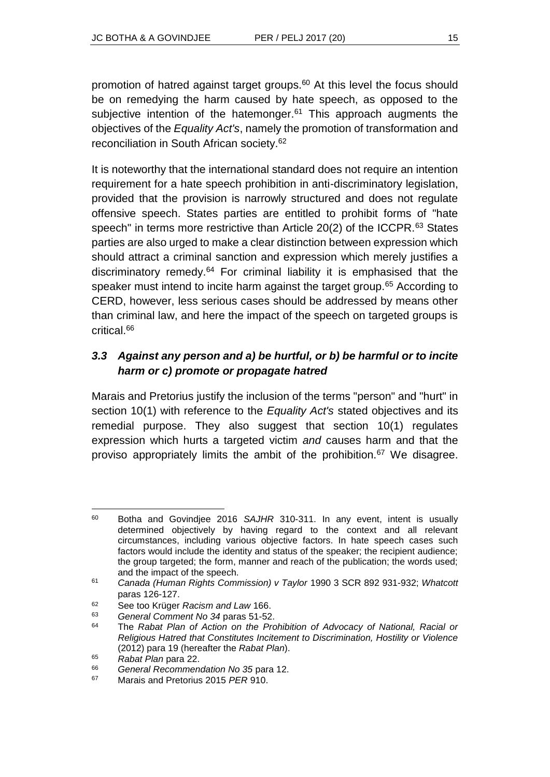promotion of hatred against target groups.<sup>60</sup> At this level the focus should be on remedying the harm caused by hate speech, as opposed to the subjective intention of the hatemonger.<sup>61</sup> This approach augments the objectives of the *Equality Act's*, namely the promotion of transformation and reconciliation in South African society.<sup>62</sup>

It is noteworthy that the international standard does not require an intention requirement for a hate speech prohibition in anti-discriminatory legislation, provided that the provision is narrowly structured and does not regulate offensive speech. States parties are entitled to prohibit forms of "hate speech" in terms more restrictive than Article 20(2) of the ICCPR.<sup>63</sup> States parties are also urged to make a clear distinction between expression which should attract a criminal sanction and expression which merely justifies a discriminatory remedy.<sup>64</sup> For criminal liability it is emphasised that the speaker must intend to incite harm against the target group.<sup>65</sup> According to CERD, however, less serious cases should be addressed by means other than criminal law, and here the impact of the speech on targeted groups is critical.<sup>66</sup>

### *3.3 Against any person and a) be hurtful, or b) be harmful or to incite harm or c) promote or propagate hatred*

Marais and Pretorius justify the inclusion of the terms "person" and "hurt" in section 10(1) with reference to the *Equality Act's* stated objectives and its remedial purpose. They also suggest that section 10(1) regulates expression which hurts a targeted victim *and* causes harm and that the proviso appropriately limits the ambit of the prohibition.<sup>67</sup> We disagree.

l <sup>60</sup> Botha and Govindjee 2016 *SAJHR* 310-311. In any event, intent is usually determined objectively by having regard to the context and all relevant circumstances, including various objective factors. In hate speech cases such factors would include the identity and status of the speaker; the recipient audience; the group targeted; the form, manner and reach of the publication; the words used; and the impact of the speech.

<sup>61</sup> *Canada (Human Rights Commission) v Taylor* 1990 3 SCR 892 931-932; *Whatcott* paras 126-127.

<sup>62</sup> See too Krüger *Racism and Law* 166.

<sup>63</sup> *General Comment No 34* paras 51-52.

<sup>64</sup> The *Rabat Plan of Action on the Prohibition of Advocacy of National, Racial or Religious Hatred that Constitutes Incitement to Discrimination, Hostility or Violence* (2012) para 19 (hereafter the *Rabat Plan*).

<sup>65</sup> *Rabat Plan* para 22.

<sup>66</sup> *General Recommendation No 35* para 12.

<sup>67</sup> Marais and Pretorius 2015 *PER* 910.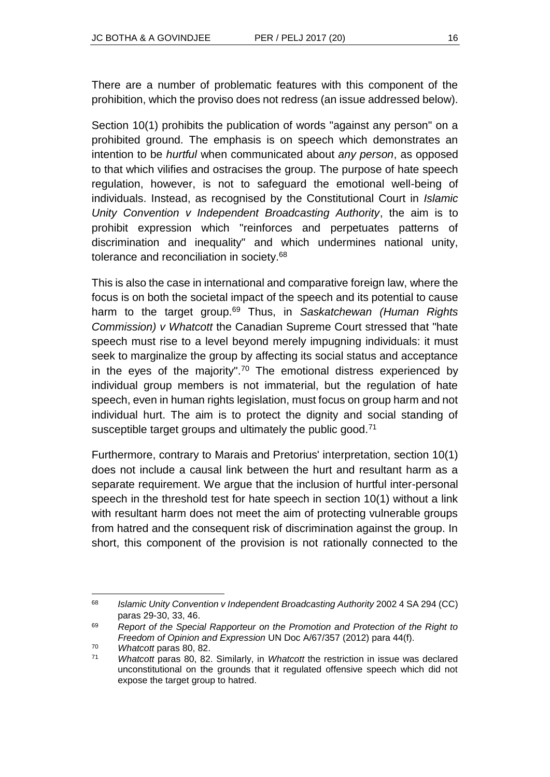There are a number of problematic features with this component of the prohibition, which the proviso does not redress (an issue addressed below).

Section 10(1) prohibits the publication of words "against any person" on a prohibited ground. The emphasis is on speech which demonstrates an intention to be *hurtful* when communicated about *any person*, as opposed to that which vilifies and ostracises the group. The purpose of hate speech regulation, however, is not to safeguard the emotional well-being of individuals. Instead, as recognised by the Constitutional Court in *Islamic Unity Convention v Independent Broadcasting Authority*, the aim is to prohibit expression which "reinforces and perpetuates patterns of discrimination and inequality" and which undermines national unity, tolerance and reconciliation in society.<sup>68</sup>

This is also the case in international and comparative foreign law, where the focus is on both the societal impact of the speech and its potential to cause harm to the target group.<sup>69</sup> Thus, in *Saskatchewan (Human Rights Commission) v Whatcott* the Canadian Supreme Court stressed that "hate speech must rise to a level beyond merely impugning individuals: it must seek to marginalize the group by affecting its social status and acceptance in the eyes of the majority".<sup>70</sup> The emotional distress experienced by individual group members is not immaterial, but the regulation of hate speech, even in human rights legislation, must focus on group harm and not individual hurt. The aim is to protect the dignity and social standing of susceptible target groups and ultimately the public good.<sup>71</sup>

Furthermore, contrary to Marais and Pretorius' interpretation, section 10(1) does not include a causal link between the hurt and resultant harm as a separate requirement. We argue that the inclusion of hurtful inter-personal speech in the threshold test for hate speech in section 10(1) without a link with resultant harm does not meet the aim of protecting vulnerable groups from hatred and the consequent risk of discrimination against the group. In short, this component of the provision is not rationally connected to the

l

<sup>68</sup> *Islamic Unity Convention v Independent Broadcasting Authority* 2002 4 SA 294 (CC) paras 29-30, 33, 46.

<sup>69</sup> *Report of the Special Rapporteur on the Promotion and Protection of the Right to Freedom of Opinion and Expression* UN Doc A/67/357 (2012) para 44(f).

<sup>70</sup> *Whatcott* paras 80, 82.

<sup>71</sup> *Whatcott* paras 80, 82. Similarly, in *Whatcott* the restriction in issue was declared unconstitutional on the grounds that it regulated offensive speech which did not expose the target group to hatred.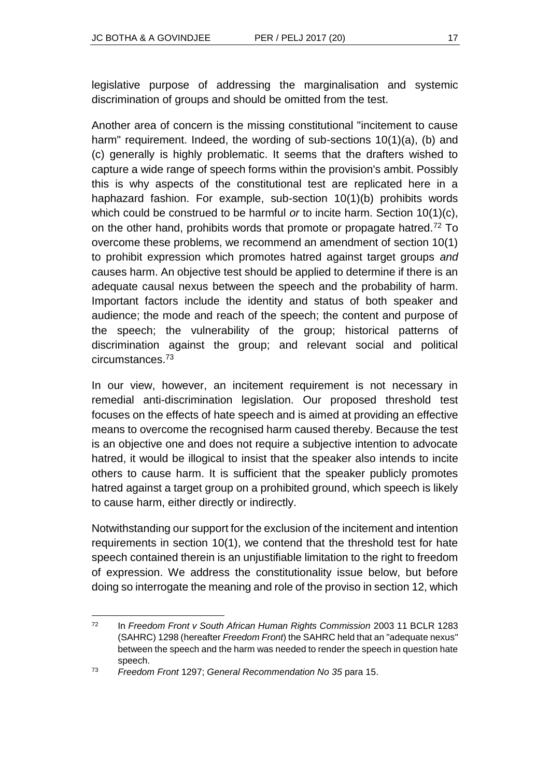legislative purpose of addressing the marginalisation and systemic discrimination of groups and should be omitted from the test.

Another area of concern is the missing constitutional "incitement to cause harm" requirement. Indeed, the wording of sub-sections 10(1)(a), (b) and (c) generally is highly problematic. It seems that the drafters wished to capture a wide range of speech forms within the provision's ambit. Possibly this is why aspects of the constitutional test are replicated here in a haphazard fashion. For example, sub-section 10(1)(b) prohibits words which could be construed to be harmful *or* to incite harm. Section 10(1)(c), on the other hand, prohibits words that promote or propagate hatred.<sup>72</sup> To overcome these problems, we recommend an amendment of section 10(1) to prohibit expression which promotes hatred against target groups *and* causes harm. An objective test should be applied to determine if there is an adequate causal nexus between the speech and the probability of harm. Important factors include the identity and status of both speaker and audience; the mode and reach of the speech; the content and purpose of the speech; the vulnerability of the group; historical patterns of discrimination against the group; and relevant social and political circumstances.<sup>73</sup>

In our view, however, an incitement requirement is not necessary in remedial anti-discrimination legislation. Our proposed threshold test focuses on the effects of hate speech and is aimed at providing an effective means to overcome the recognised harm caused thereby. Because the test is an objective one and does not require a subjective intention to advocate hatred, it would be illogical to insist that the speaker also intends to incite others to cause harm. It is sufficient that the speaker publicly promotes hatred against a target group on a prohibited ground, which speech is likely to cause harm, either directly or indirectly.

Notwithstanding our support for the exclusion of the incitement and intention requirements in section 10(1), we contend that the threshold test for hate speech contained therein is an unjustifiable limitation to the right to freedom of expression. We address the constitutionality issue below, but before doing so interrogate the meaning and role of the proviso in section 12, which

 $72$ <sup>72</sup> In *Freedom Front v South African Human Rights Commission* 2003 11 BCLR 1283 (SAHRC) 1298 (hereafter *Freedom Front*) the SAHRC held that an "adequate nexus" between the speech and the harm was needed to render the speech in question hate speech.

<sup>73</sup> *Freedom Front* 1297; *General Recommendation No 35* para 15.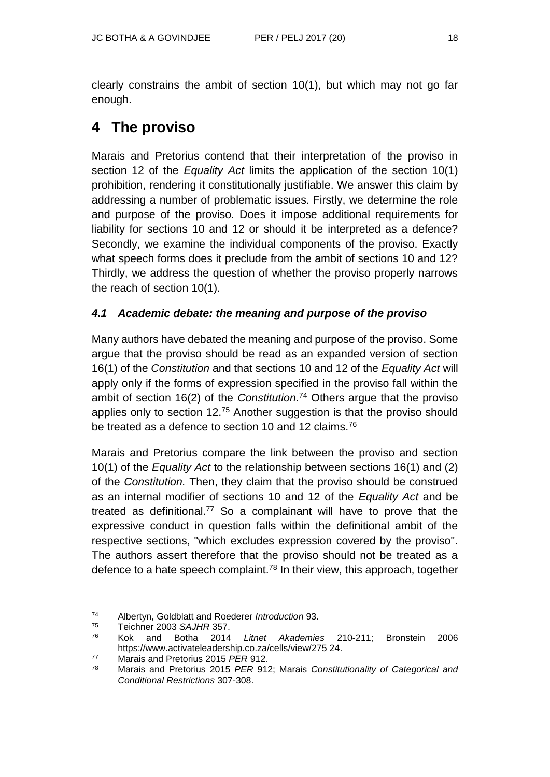clearly constrains the ambit of section 10(1), but which may not go far enough.

# **4 The proviso**

Marais and Pretorius contend that their interpretation of the proviso in section 12 of the *Equality Act* limits the application of the section 10(1) prohibition, rendering it constitutionally justifiable. We answer this claim by addressing a number of problematic issues. Firstly, we determine the role and purpose of the proviso. Does it impose additional requirements for liability for sections 10 and 12 or should it be interpreted as a defence? Secondly, we examine the individual components of the proviso. Exactly what speech forms does it preclude from the ambit of sections 10 and 12? Thirdly, we address the question of whether the proviso properly narrows the reach of section 10(1).

### *4.1 Academic debate: the meaning and purpose of the proviso*

Many authors have debated the meaning and purpose of the proviso. Some argue that the proviso should be read as an expanded version of section 16(1) of the *Constitution* and that sections 10 and 12 of the *Equality Act* will apply only if the forms of expression specified in the proviso fall within the ambit of section 16(2) of the *Constitution*. <sup>74</sup> Others argue that the proviso applies only to section 12.<sup>75</sup> Another suggestion is that the proviso should be treated as a defence to section 10 and 12 claims.<sup>76</sup>

Marais and Pretorius compare the link between the proviso and section 10(1) of the *Equality Act* to the relationship between sections 16(1) and (2) of the *Constitution.* Then, they claim that the proviso should be construed as an internal modifier of sections 10 and 12 of the *Equality Act* and be treated as definitional.<sup>77</sup> So a complainant will have to prove that the expressive conduct in question falls within the definitional ambit of the respective sections, "which excludes expression covered by the proviso". The authors assert therefore that the proviso should not be treated as a defence to a hate speech complaint.<sup>78</sup> In their view, this approach, together

l

<sup>74</sup> Albertyn, Goldblatt and Roederer *Introduction* 93.

<sup>75</sup> Teichner 2003 *SAJHR* 357.

<sup>76</sup> Kok and Botha 2014 *Litnet Akademies* 210-211; Bronstein 2006 https://www.activateleadership.co.za/cells/view/275 24.

<sup>77</sup> Marais and Pretorius 2015 *PER* 912.

<sup>78</sup> Marais and Pretorius 2015 *PER* 912; Marais *Constitutionality of Categorical and Conditional Restrictions* 307-308.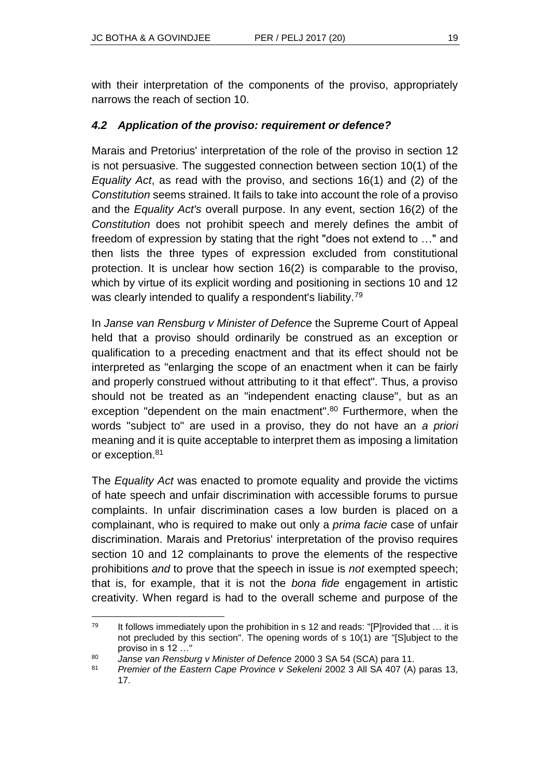with their interpretation of the components of the proviso, appropriately narrows the reach of section 10.

#### *4.2 Application of the proviso: requirement or defence?*

Marais and Pretorius' interpretation of the role of the proviso in section 12 is not persuasive. The suggested connection between section 10(1) of the *Equality Act*, as read with the proviso, and sections 16(1) and (2) of the *Constitution* seems strained. It fails to take into account the role of a proviso and the *Equality Act's* overall purpose. In any event, section 16(2) of the *Constitution* does not prohibit speech and merely defines the ambit of freedom of expression by stating that the right "does not extend to …" and then lists the three types of expression excluded from constitutional protection. It is unclear how section 16(2) is comparable to the proviso, which by virtue of its explicit wording and positioning in sections 10 and 12 was clearly intended to qualify a respondent's liability.<sup>79</sup>

In *Janse van Rensburg v Minister of Defence* the Supreme Court of Appeal held that a proviso should ordinarily be construed as an exception or qualification to a preceding enactment and that its effect should not be interpreted as "enlarging the scope of an enactment when it can be fairly and properly construed without attributing to it that effect". Thus, a proviso should not be treated as an "independent enacting clause", but as an exception "dependent on the main enactment".<sup>80</sup> Furthermore, when the words "subject to" are used in a proviso, they do not have an *a priori* meaning and it is quite acceptable to interpret them as imposing a limitation or exception.<sup>81</sup>

The *Equality Act* was enacted to promote equality and provide the victims of hate speech and unfair discrimination with accessible forums to pursue complaints. In unfair discrimination cases a low burden is placed on a complainant, who is required to make out only a *prima facie* case of unfair discrimination. Marais and Pretorius' interpretation of the proviso requires section 10 and 12 complainants to prove the elements of the respective prohibitions *and* to prove that the speech in issue is *not* exempted speech; that is, for example, that it is not the *bona fide* engagement in artistic creativity. When regard is had to the overall scheme and purpose of the

l  $79$  It follows immediately upon the prohibition in s 12 and reads: "[P]rovided that  $\dots$  it is not precluded by this section". The opening words of s 10(1) are "[S]ubject to the proviso in s 12 …"

<sup>80</sup> *Janse van Rensburg v Minister of Defence* 2000 3 SA 54 (SCA) para 11.

<sup>81</sup> *Premier of the Eastern Cape Province v Sekeleni* 2002 3 All SA 407 (A) paras 13, 17.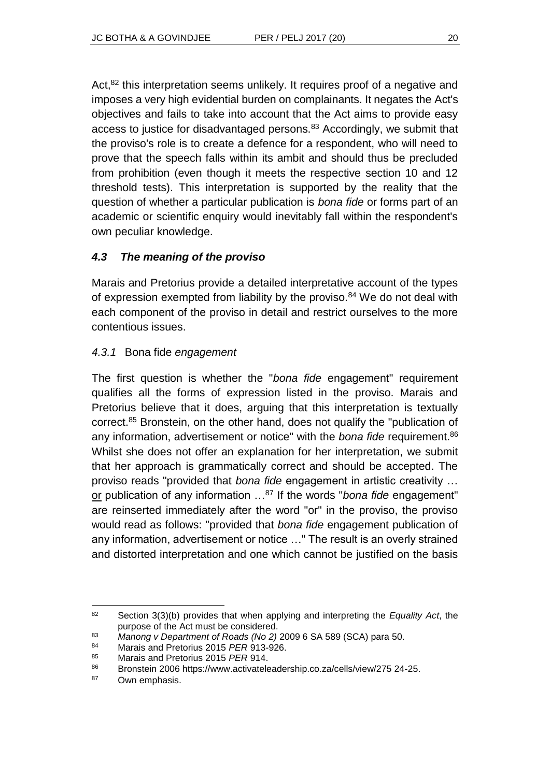Act.<sup>82</sup> this interpretation seems unlikely. It requires proof of a negative and imposes a very high evidential burden on complainants. It negates the Act's objectives and fails to take into account that the Act aims to provide easy access to justice for disadvantaged persons.<sup>83</sup> Accordingly, we submit that the proviso's role is to create a defence for a respondent, who will need to prove that the speech falls within its ambit and should thus be precluded from prohibition (even though it meets the respective section 10 and 12 threshold tests). This interpretation is supported by the reality that the question of whether a particular publication is *bona fide* or forms part of an academic or scientific enquiry would inevitably fall within the respondent's own peculiar knowledge.

### *4.3 The meaning of the proviso*

Marais and Pretorius provide a detailed interpretative account of the types of expression exempted from liability by the proviso.<sup>84</sup> We do not deal with each component of the proviso in detail and restrict ourselves to the more contentious issues.

#### *4.3.1* Bona fide *engagement*

The first question is whether the "*bona fide* engagement" requirement qualifies all the forms of expression listed in the proviso. Marais and Pretorius believe that it does, arguing that this interpretation is textually correct.<sup>85</sup> Bronstein, on the other hand, does not qualify the "publication of any information, advertisement or notice" with the *bona fide* requirement.<sup>86</sup> Whilst she does not offer an explanation for her interpretation, we submit that her approach is grammatically correct and should be accepted. The proviso reads "provided that *bona fide* engagement in artistic creativity … or publication of any information …<sup>87</sup> If the words "*bona fide* engagement" are reinserted immediately after the word "or" in the proviso, the proviso would read as follows: "provided that *bona fide* engagement publication of any information, advertisement or notice …" The result is an overly strained and distorted interpretation and one which cannot be justified on the basis

l <sup>82</sup> Section 3(3)(b) provides that when applying and interpreting the *Equality Act*, the purpose of the Act must be considered.

<sup>83</sup> *Manong v Department of Roads (No 2)* 2009 6 SA 589 (SCA) para 50.

<sup>84</sup> Marais and Pretorius 2015 *PER* 913-926.

<sup>85</sup> Marais and Pretorius 2015 *PER* 914.

<sup>86</sup> Bronstein 2006 https://www.activateleadership.co.za/cells/view/275 24-25.

<sup>87</sup> Own emphasis.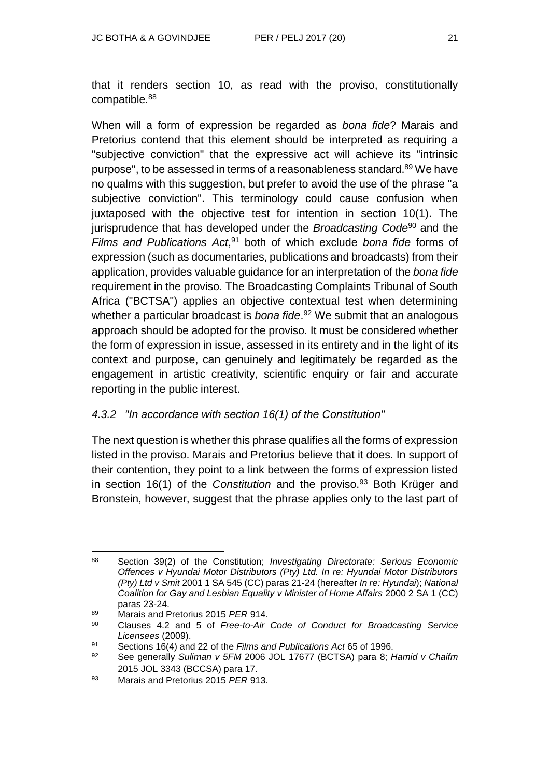that it renders section 10, as read with the proviso, constitutionally compatible.<sup>88</sup>

When will a form of expression be regarded as *bona fide*? Marais and Pretorius contend that this element should be interpreted as requiring a "subjective conviction" that the expressive act will achieve its "intrinsic purpose", to be assessed in terms of a reasonableness standard.<sup>89</sup> We have no qualms with this suggestion, but prefer to avoid the use of the phrase "a subjective conviction". This terminology could cause confusion when juxtaposed with the objective test for intention in section 10(1). The jurisprudence that has developed under the *Broadcasting Code*<sup>90</sup> and the *Films and Publications Act*, <sup>91</sup> both of which exclude *bona fide* forms of expression (such as documentaries, publications and broadcasts) from their application, provides valuable guidance for an interpretation of the *bona fide* requirement in the proviso. The Broadcasting Complaints Tribunal of South Africa ("BCTSA") applies an objective contextual test when determining whether a particular broadcast is *bona fide*. <sup>92</sup> We submit that an analogous approach should be adopted for the proviso. It must be considered whether the form of expression in issue, assessed in its entirety and in the light of its context and purpose, can genuinely and legitimately be regarded as the engagement in artistic creativity, scientific enquiry or fair and accurate reporting in the public interest.

#### *4.3.2 "In accordance with section 16(1) of the Constitution"*

The next question is whether this phrase qualifies all the forms of expression listed in the proviso. Marais and Pretorius believe that it does. In support of their contention, they point to a link between the forms of expression listed in section 16(1) of the *Constitution* and the proviso.<sup>93</sup> Both Krüger and Bronstein, however, suggest that the phrase applies only to the last part of

<sup>88</sup> <sup>88</sup> Section 39(2) of the Constitution; *Investigating Directorate: Serious Economic Offences v Hyundai Motor Distributors (Pty) Ltd. In re: Hyundai Motor Distributors (Pty) Ltd v Smit* 2001 1 SA 545 (CC) paras 21-24 (hereafter *In re: Hyundai*); *National Coalition for Gay and Lesbian Equality v Minister of Home Affairs* 2000 2 SA 1 (CC) paras 23-24.

<sup>89</sup> Marais and Pretorius 2015 *PER* 914.

<sup>90</sup> Clauses 4.2 and 5 of *Free-to-Air Code of Conduct for Broadcasting Service Licensees* (2009).

<sup>91</sup> Sections 16(4) and 22 of the *Films and Publications Act* 65 of 1996.

<sup>92</sup> See generally *Suliman v 5FM* 2006 JOL 17677 (BCTSA) para 8; *Hamid v Chaifm* 2015 JOL 3343 (BCCSA) para 17.

<sup>93</sup> Marais and Pretorius 2015 *PER* 913.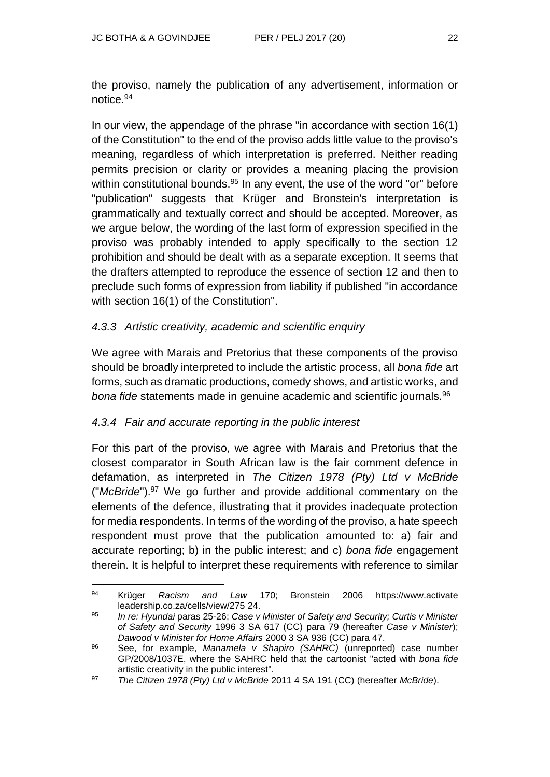the proviso, namely the publication of any advertisement, information or notice.<sup>94</sup>

In our view, the appendage of the phrase "in accordance with section 16(1) of the Constitution" to the end of the proviso adds little value to the proviso's meaning, regardless of which interpretation is preferred. Neither reading permits precision or clarity or provides a meaning placing the provision within constitutional bounds.<sup>95</sup> In any event, the use of the word "or" before "publication" suggests that Krüger and Bronstein's interpretation is grammatically and textually correct and should be accepted. Moreover, as we argue below, the wording of the last form of expression specified in the proviso was probably intended to apply specifically to the section 12 prohibition and should be dealt with as a separate exception. It seems that the drafters attempted to reproduce the essence of section 12 and then to preclude such forms of expression from liability if published "in accordance with section 16(1) of the Constitution".

#### *4.3.3 Artistic creativity, academic and scientific enquiry*

We agree with Marais and Pretorius that these components of the proviso should be broadly interpreted to include the artistic process, all *bona fide* art forms, such as dramatic productions, comedy shows, and artistic works, and *bona fide* statements made in genuine academic and scientific journals.<sup>96</sup>

#### *4.3.4 Fair and accurate reporting in the public interest*

For this part of the proviso, we agree with Marais and Pretorius that the closest comparator in South African law is the fair comment defence in defamation, as interpreted in *The Citizen 1978 (Pty) Ltd v McBride*  ("*McBride*"). <sup>97</sup> We go further and provide additional commentary on the elements of the defence, illustrating that it provides inadequate protection for media respondents. In terms of the wording of the proviso, a hate speech respondent must prove that the publication amounted to: a) fair and accurate reporting; b) in the public interest; and c) *bona fide* engagement therein. It is helpful to interpret these requirements with reference to similar

l <sup>94</sup> Krüger *Racism and Law* 170; Bronstein 2006 https://www.activate leadership.co.za/cells/view/275 24.

<sup>95</sup> *In re: Hyundai* paras 25-26; *Case v Minister of Safety and Security; Curtis v Minister of Safety and Security* 1996 3 SA 617 (CC) para 79 (hereafter *Case v Minister*); *Dawood v Minister for Home Affairs* 2000 3 SA 936 (CC) para 47.

<sup>96</sup> See, for example, *Manamela v Shapiro (SAHRC)* (unreported) case number GP/2008/1037E, where the SAHRC held that the cartoonist "acted with *bona fide* artistic creativity in the public interest".

<sup>97</sup> *The Citizen 1978 (Pty) Ltd v McBride* 2011 4 SA 191 (CC) (hereafter *McBride*).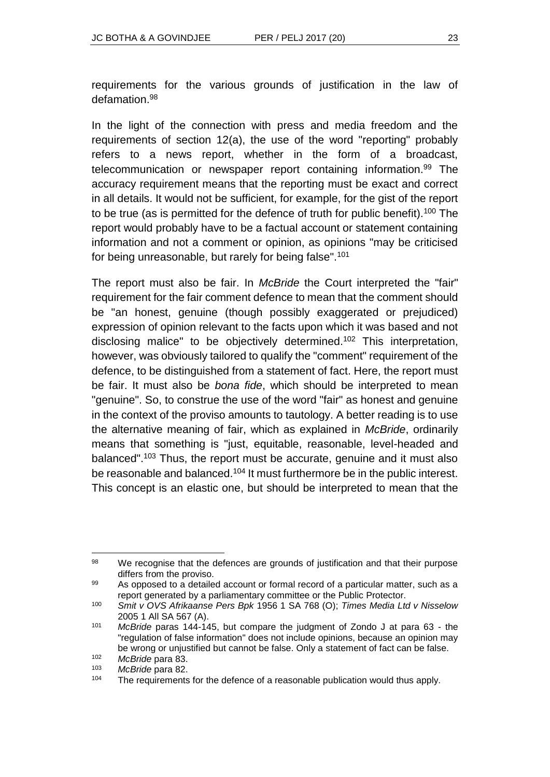requirements for the various grounds of justification in the law of defamation.<sup>98</sup>

In the light of the connection with press and media freedom and the requirements of section 12(a), the use of the word "reporting" probably refers to a news report, whether in the form of a broadcast, telecommunication or newspaper report containing information.<sup>99</sup> The accuracy requirement means that the reporting must be exact and correct in all details. It would not be sufficient, for example, for the gist of the report to be true (as is permitted for the defence of truth for public benefit).<sup>100</sup> The report would probably have to be a factual account or statement containing information and not a comment or opinion, as opinions "may be criticised for being unreasonable, but rarely for being false".<sup>101</sup>

The report must also be fair. In *McBride* the Court interpreted the "fair" requirement for the fair comment defence to mean that the comment should be "an honest, genuine (though possibly exaggerated or prejudiced) expression of opinion relevant to the facts upon which it was based and not disclosing malice" to be objectively determined.<sup>102</sup> This interpretation, however, was obviously tailored to qualify the "comment" requirement of the defence, to be distinguished from a statement of fact. Here, the report must be fair. It must also be *bona fide*, which should be interpreted to mean "genuine". So, to construe the use of the word "fair" as honest and genuine in the context of the proviso amounts to tautology. A better reading is to use the alternative meaning of fair, which as explained in *McBride*, ordinarily means that something is "just, equitable, reasonable, level-headed and balanced".<sup>103</sup> Thus, the report must be accurate, genuine and it must also be reasonable and balanced.<sup>104</sup> It must furthermore be in the public interest. This concept is an elastic one, but should be interpreted to mean that the

 $\overline{a}$ 98 We recognise that the defences are grounds of justification and that their purpose differs from the proviso.

<sup>99</sup> As opposed to a detailed account or formal record of a particular matter, such as a report generated by a parliamentary committee or the Public Protector.

<sup>100</sup> *Smit v OVS Afrikaanse Pers Bpk* 1956 1 SA 768 (O); *Times Media Ltd v Nisselow* 2005 1 All SA 567 (A).

<sup>101</sup> *McBride* paras 144-145, but compare the judgment of Zondo J at para 63 - the "regulation of false information" does not include opinions, because an opinion may be wrong or unjustified but cannot be false. Only a statement of fact can be false.

<sup>102</sup> *McBride* para 83. McBride para 82.

<sup>&</sup>lt;sup>104</sup> The requirements for the defence of a reasonable publication would thus apply.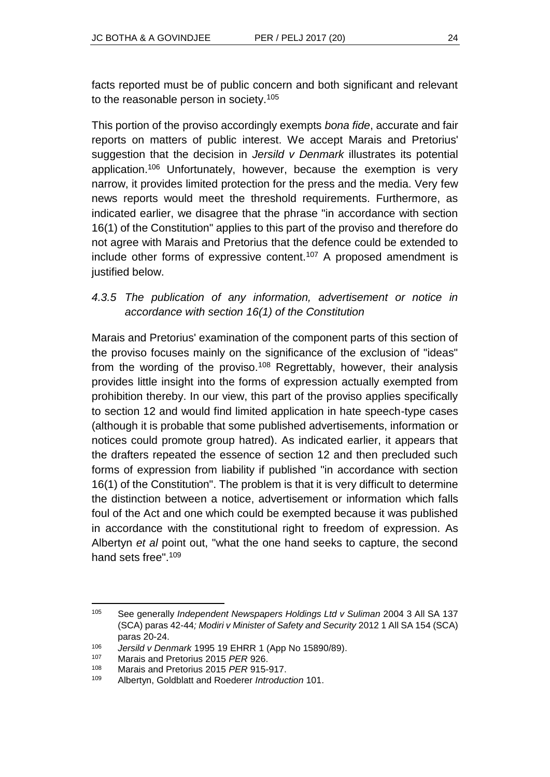facts reported must be of public concern and both significant and relevant to the reasonable person in society.<sup>105</sup>

This portion of the proviso accordingly exempts *bona fide*, accurate and fair reports on matters of public interest. We accept Marais and Pretorius' suggestion that the decision in *Jersild v Denmark* illustrates its potential application.<sup>106</sup> Unfortunately, however, because the exemption is very narrow, it provides limited protection for the press and the media. Very few news reports would meet the threshold requirements. Furthermore, as indicated earlier, we disagree that the phrase "in accordance with section 16(1) of the Constitution" applies to this part of the proviso and therefore do not agree with Marais and Pretorius that the defence could be extended to include other forms of expressive content.<sup>107</sup> A proposed amendment is justified below.

### *4.3.5 The publication of any information, advertisement or notice in accordance with section 16(1) of the Constitution*

Marais and Pretorius' examination of the component parts of this section of the proviso focuses mainly on the significance of the exclusion of "ideas" from the wording of the proviso.<sup>108</sup> Regrettably, however, their analysis provides little insight into the forms of expression actually exempted from prohibition thereby. In our view, this part of the proviso applies specifically to section 12 and would find limited application in hate speech-type cases (although it is probable that some published advertisements, information or notices could promote group hatred). As indicated earlier, it appears that the drafters repeated the essence of section 12 and then precluded such forms of expression from liability if published "in accordance with section 16(1) of the Constitution". The problem is that it is very difficult to determine the distinction between a notice, advertisement or information which falls foul of the Act and one which could be exempted because it was published in accordance with the constitutional right to freedom of expression. As Albertyn *et al* point out, "what the one hand seeks to capture, the second hand sets free" 109

l <sup>105</sup> See generally *Independent Newspapers Holdings Ltd v Suliman* 2004 3 All SA 137 (SCA) paras 42-44*; Modiri v Minister of Safety and Security* 2012 1 All SA 154 (SCA) paras 20-24.

<sup>106</sup> *Jersild v Denmark* 1995 19 EHRR 1 (App No 15890/89).

<sup>107</sup> Marais and Pretorius 2015 *PER* 926.

<sup>108</sup> Marais and Pretorius 2015 *PER* 915-917.

<sup>109</sup> Albertyn, Goldblatt and Roederer *Introduction* 101.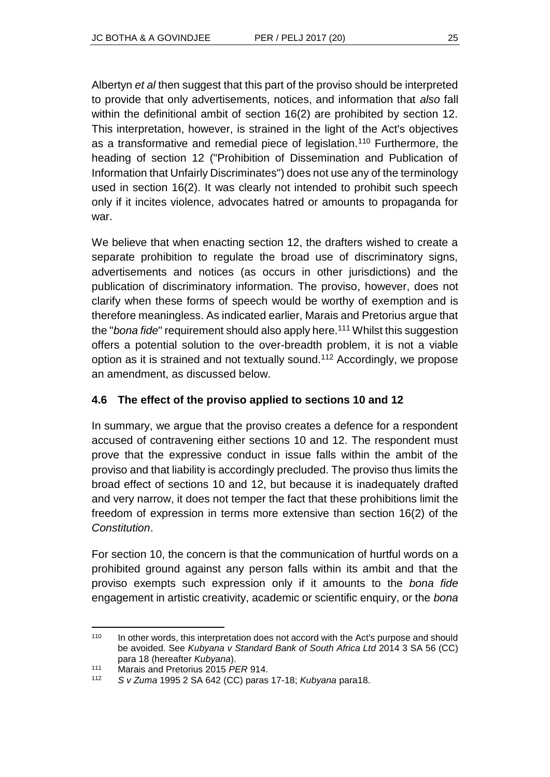Albertyn *et al* then suggest that this part of the proviso should be interpreted to provide that only advertisements, notices, and information that *also* fall within the definitional ambit of section 16(2) are prohibited by section 12. This interpretation, however, is strained in the light of the Act's objectives as a transformative and remedial piece of legislation.<sup>110</sup> Furthermore, the heading of section 12 ("Prohibition of Dissemination and Publication of Information that Unfairly Discriminates") does not use any of the terminology used in section 16(2). It was clearly not intended to prohibit such speech only if it incites violence, advocates hatred or amounts to propaganda for war.

We believe that when enacting section 12, the drafters wished to create a separate prohibition to regulate the broad use of discriminatory signs, advertisements and notices (as occurs in other jurisdictions) and the publication of discriminatory information. The proviso, however, does not clarify when these forms of speech would be worthy of exemption and is therefore meaningless. As indicated earlier, Marais and Pretorius argue that the "*bona fide*" requirement should also apply here.<sup>111</sup> Whilst this suggestion offers a potential solution to the over-breadth problem, it is not a viable option as it is strained and not textually sound.<sup>112</sup> Accordingly, we propose an amendment, as discussed below.

#### **4.6 The effect of the proviso applied to sections 10 and 12**

In summary, we argue that the proviso creates a defence for a respondent accused of contravening either sections 10 and 12. The respondent must prove that the expressive conduct in issue falls within the ambit of the proviso and that liability is accordingly precluded. The proviso thus limits the broad effect of sections 10 and 12, but because it is inadequately drafted and very narrow, it does not temper the fact that these prohibitions limit the freedom of expression in terms more extensive than section 16(2) of the *Constitution*.

For section 10, the concern is that the communication of hurtful words on a prohibited ground against any person falls within its ambit and that the proviso exempts such expression only if it amounts to the *bona fide* engagement in artistic creativity, academic or scientific enquiry, or the *bona* 

l <sup>110</sup> In other words, this interpretation does not accord with the Act's purpose and should be avoided. See *Kubyana v Standard Bank of South Africa Ltd* 2014 3 SA 56 (CC) para 18 (hereafter *Kubyana*).

<sup>111</sup> Marais and Pretorius 2015 *PER* 914.

<sup>112</sup> *S v Zuma* 1995 2 SA 642 (CC) paras 17-18; *Kubyana* para18.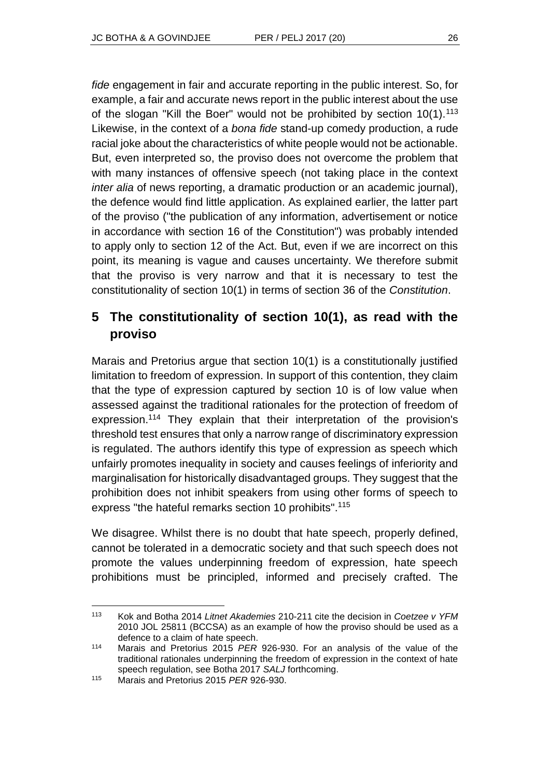*fide* engagement in fair and accurate reporting in the public interest. So, for example, a fair and accurate news report in the public interest about the use of the slogan "Kill the Boer" would not be prohibited by section 10(1).<sup>113</sup> Likewise, in the context of a *bona fide* stand-up comedy production, a rude racial joke about the characteristics of white people would not be actionable. But, even interpreted so, the proviso does not overcome the problem that with many instances of offensive speech (not taking place in the context *inter alia* of news reporting, a dramatic production or an academic journal), the defence would find little application. As explained earlier, the latter part of the proviso ("the publication of any information, advertisement or notice in accordance with section 16 of the Constitution") was probably intended to apply only to section 12 of the Act. But, even if we are incorrect on this point, its meaning is vague and causes uncertainty. We therefore submit that the proviso is very narrow and that it is necessary to test the constitutionality of section 10(1) in terms of section 36 of the *Constitution*.

# **5 The constitutionality of section 10(1), as read with the proviso**

Marais and Pretorius argue that section 10(1) is a constitutionally justified limitation to freedom of expression. In support of this contention, they claim that the type of expression captured by section 10 is of low value when assessed against the traditional rationales for the protection of freedom of expression.<sup>114</sup> They explain that their interpretation of the provision's threshold test ensures that only a narrow range of discriminatory expression is regulated. The authors identify this type of expression as speech which unfairly promotes inequality in society and causes feelings of inferiority and marginalisation for historically disadvantaged groups. They suggest that the prohibition does not inhibit speakers from using other forms of speech to express "the hateful remarks section 10 prohibits".<sup>115</sup>

We disagree. Whilst there is no doubt that hate speech, properly defined, cannot be tolerated in a democratic society and that such speech does not promote the values underpinning freedom of expression, hate speech prohibitions must be principled, informed and precisely crafted. The

l <sup>113</sup> Kok and Botha 2014 *Litnet Akademies* 210-211 cite the decision in *Coetzee v YFM* 2010 JOL 25811 (BCCSA) as an example of how the proviso should be used as a defence to a claim of hate speech.

<sup>114</sup> Marais and Pretorius 2015 *PER* 926-930. For an analysis of the value of the traditional rationales underpinning the freedom of expression in the context of hate speech regulation, see Botha 2017 *SALJ* forthcoming.

<sup>115</sup> Marais and Pretorius 2015 *PER* 926-930.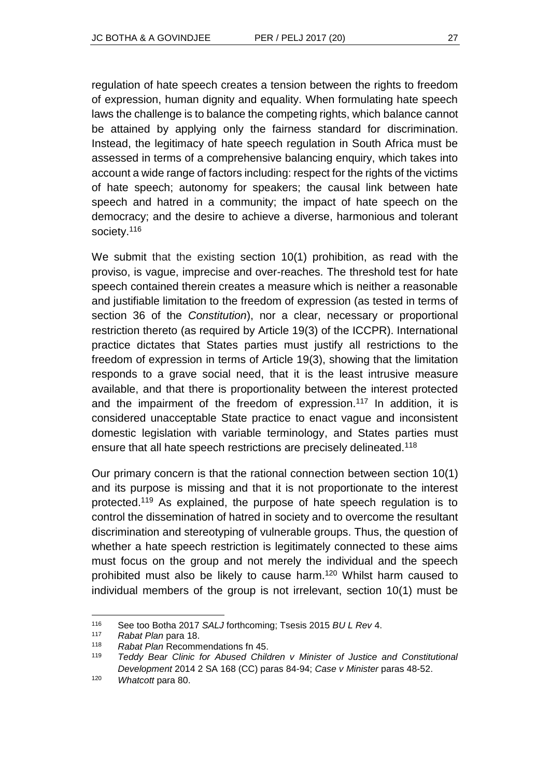regulation of hate speech creates a tension between the rights to freedom of expression, human dignity and equality. When formulating hate speech laws the challenge is to balance the competing rights, which balance cannot be attained by applying only the fairness standard for discrimination. Instead, the legitimacy of hate speech regulation in South Africa must be assessed in terms of a comprehensive balancing enquiry, which takes into account a wide range of factors including: respect for the rights of the victims of hate speech; autonomy for speakers; the causal link between hate speech and hatred in a community; the impact of hate speech on the democracy; and the desire to achieve a diverse, harmonious and tolerant society.<sup>116</sup>

We submit that the existing section 10(1) prohibition, as read with the proviso, is vague, imprecise and over-reaches. The threshold test for hate speech contained therein creates a measure which is neither a reasonable and justifiable limitation to the freedom of expression (as tested in terms of section 36 of the *Constitution*), nor a clear, necessary or proportional restriction thereto (as required by Article 19(3) of the ICCPR). International practice dictates that States parties must justify all restrictions to the freedom of expression in terms of Article 19(3), showing that the limitation responds to a grave social need, that it is the least intrusive measure available, and that there is proportionality between the interest protected and the impairment of the freedom of expression.<sup>117</sup> In addition, it is considered unacceptable State practice to enact vague and inconsistent domestic legislation with variable terminology, and States parties must ensure that all hate speech restrictions are precisely delineated.<sup>118</sup>

Our primary concern is that the rational connection between section 10(1) and its purpose is missing and that it is not proportionate to the interest protected.<sup>119</sup> As explained, the purpose of hate speech regulation is to control the dissemination of hatred in society and to overcome the resultant discrimination and stereotyping of vulnerable groups. Thus, the question of whether a hate speech restriction is legitimately connected to these aims must focus on the group and not merely the individual and the speech prohibited must also be likely to cause harm.<sup>120</sup> Whilst harm caused to individual members of the group is not irrelevant, section 10(1) must be

l

<sup>116</sup> See too Botha 2017 *SALJ* forthcoming; Tsesis 2015 *BU L Rev* 4.

<sup>117</sup> *Rabat Plan* para 18.

<sup>118</sup> *Rabat Plan* Recommendations fn 45.

Teddy Bear Clinic for Abused Children v Minister of Justice and Constitutional *Development* 2014 2 SA 168 (CC) paras 84-94; *Case v Minister* paras 48-52.

<sup>120</sup> *Whatcott* para 80.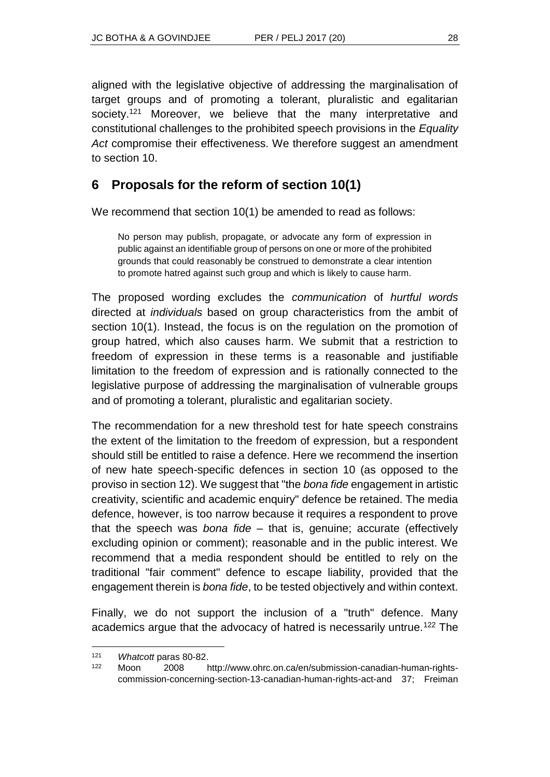aligned with the legislative objective of addressing the marginalisation of target groups and of promoting a tolerant, pluralistic and egalitarian society.<sup>121</sup> Moreover, we believe that the many interpretative and constitutional challenges to the prohibited speech provisions in the *Equality Act* compromise their effectiveness. We therefore suggest an amendment to section 10.

## **6 Proposals for the reform of section 10(1)**

We recommend that section 10(1) be amended to read as follows:

No person may publish, propagate, or advocate any form of expression in public against an identifiable group of persons on one or more of the prohibited grounds that could reasonably be construed to demonstrate a clear intention to promote hatred against such group and which is likely to cause harm.

The proposed wording excludes the *communication* of *hurtful words* directed at *individuals* based on group characteristics from the ambit of section 10(1). Instead, the focus is on the regulation on the promotion of group hatred, which also causes harm. We submit that a restriction to freedom of expression in these terms is a reasonable and justifiable limitation to the freedom of expression and is rationally connected to the legislative purpose of addressing the marginalisation of vulnerable groups and of promoting a tolerant, pluralistic and egalitarian society.

The recommendation for a new threshold test for hate speech constrains the extent of the limitation to the freedom of expression, but a respondent should still be entitled to raise a defence. Here we recommend the insertion of new hate speech-specific defences in section 10 (as opposed to the proviso in section 12). We suggest that "the *bona fide* engagement in artistic creativity, scientific and academic enquiry" defence be retained. The media defence, however, is too narrow because it requires a respondent to prove that the speech was *bona fide* – that is, genuine; accurate (effectively excluding opinion or comment); reasonable and in the public interest. We recommend that a media respondent should be entitled to rely on the traditional "fair comment" defence to escape liability, provided that the engagement therein is *bona fide*, to be tested objectively and within context.

Finally, we do not support the inclusion of a "truth" defence. Many academics argue that the advocacy of hatred is necessarily untrue.<sup>122</sup> The

l <sup>121</sup> *Whatcott* paras 80-82.

<sup>122</sup> Moon 2008 http://www.ohrc.on.ca/en/submission-canadian-human-rightscommission-concerning-section-13-canadian-human-rights-act-and 37; Freiman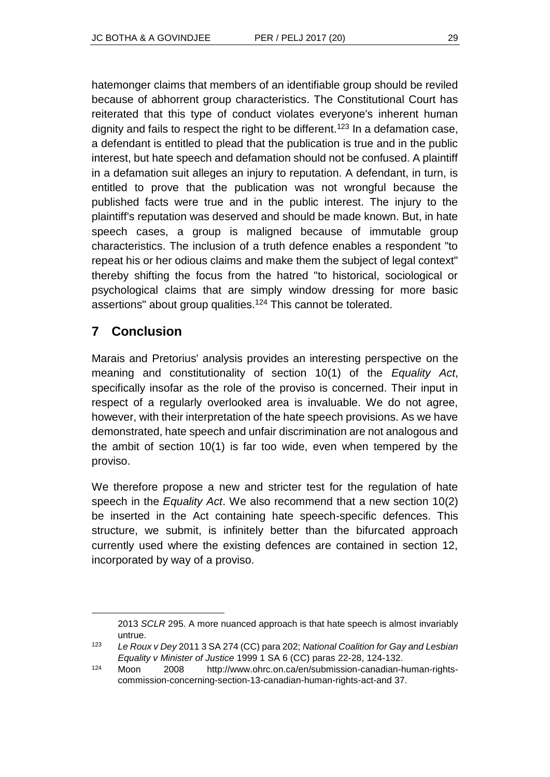hatemonger claims that members of an identifiable group should be reviled because of abhorrent group characteristics. The Constitutional Court has reiterated that this type of conduct violates everyone's inherent human dignity and fails to respect the right to be different.<sup>123</sup> In a defamation case, a defendant is entitled to plead that the publication is true and in the public interest, but hate speech and defamation should not be confused. A plaintiff in a defamation suit alleges an injury to reputation. A defendant, in turn, is entitled to prove that the publication was not wrongful because the published facts were true and in the public interest. The injury to the plaintiff's reputation was deserved and should be made known. But, in hate speech cases, a group is maligned because of immutable group characteristics. The inclusion of a truth defence enables a respondent "to repeat his or her odious claims and make them the subject of legal context" thereby shifting the focus from the hatred "to historical, sociological or psychological claims that are simply window dressing for more basic assertions" about group qualities.<sup>124</sup> This cannot be tolerated.

# **7 Conclusion**

l

Marais and Pretorius' analysis provides an interesting perspective on the meaning and constitutionality of section 10(1) of the *Equality Act*, specifically insofar as the role of the proviso is concerned. Their input in respect of a regularly overlooked area is invaluable. We do not agree, however, with their interpretation of the hate speech provisions. As we have demonstrated, hate speech and unfair discrimination are not analogous and the ambit of section 10(1) is far too wide, even when tempered by the proviso.

We therefore propose a new and stricter test for the regulation of hate speech in the *Equality Act*. We also recommend that a new section 10(2) be inserted in the Act containing hate speech-specific defences. This structure, we submit, is infinitely better than the bifurcated approach currently used where the existing defences are contained in section 12, incorporated by way of a proviso.

<sup>2013</sup> *SCLR* 295. A more nuanced approach is that hate speech is almost invariably untrue.

<sup>123</sup> *Le Roux v Dey* 2011 3 SA 274 (CC) para 202; *National Coalition for Gay and Lesbian Equality v Minister of Justice* 1999 1 SA 6 (CC) paras 22-28, 124-132.

<sup>124</sup> Moon 2008 http://www.ohrc.on.ca/en/submission-canadian-human-rightscommission-concerning-section-13-canadian-human-rights-act-and 37.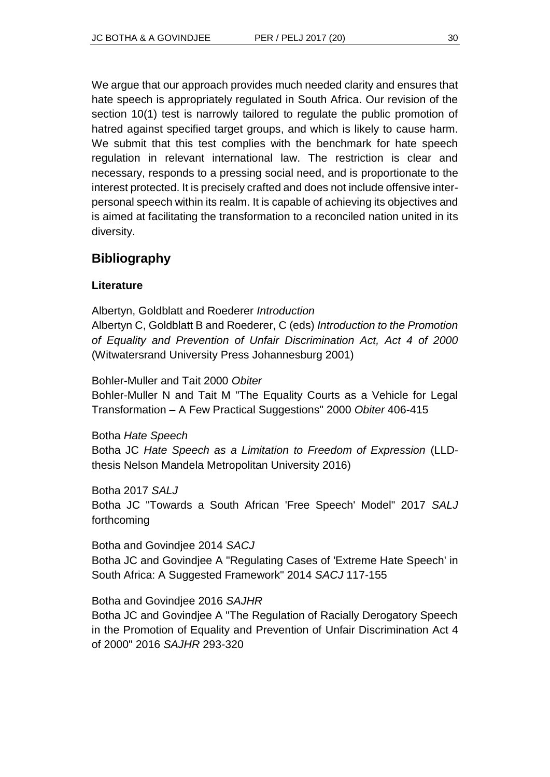We argue that our approach provides much needed clarity and ensures that hate speech is appropriately regulated in South Africa. Our revision of the section 10(1) test is narrowly tailored to regulate the public promotion of hatred against specified target groups, and which is likely to cause harm. We submit that this test complies with the benchmark for hate speech regulation in relevant international law. The restriction is clear and necessary, responds to a pressing social need, and is proportionate to the interest protected. It is precisely crafted and does not include offensive interpersonal speech within its realm. It is capable of achieving its objectives and is aimed at facilitating the transformation to a reconciled nation united in its diversity.

### **Bibliography**

#### **Literature**

Albertyn, Goldblatt and Roederer *Introduction* Albertyn C, Goldblatt B and Roederer, C (eds) *Introduction to the Promotion of Equality and Prevention of Unfair Discrimination Act, Act 4 of 2000* (Witwatersrand University Press Johannesburg 2001)

Bohler-Muller and Tait 2000 *Obiter*

Bohler-Muller N and Tait M "The Equality Courts as a Vehicle for Legal Transformation – A Few Practical Suggestions" 2000 *Obiter* 406-415

Botha *Hate Speech*

Botha JC *Hate Speech as a Limitation to Freedom of Expression* (LLDthesis Nelson Mandela Metropolitan University 2016)

Botha 2017 *SALJ* Botha JC "Towards a South African 'Free Speech' Model" 2017 *SALJ* forthcoming

Botha and Govindjee 2014 *SACJ* Botha JC and Govindjee A "Regulating Cases of 'Extreme Hate Speech' in South Africa: A Suggested Framework" 2014 *SACJ* 117-155

Botha and Govindjee 2016 *SAJHR*

Botha JC and Govindjee A "The Regulation of Racially Derogatory Speech in the Promotion of Equality and Prevention of Unfair Discrimination Act 4 of 2000" 2016 *SAJHR* 293-320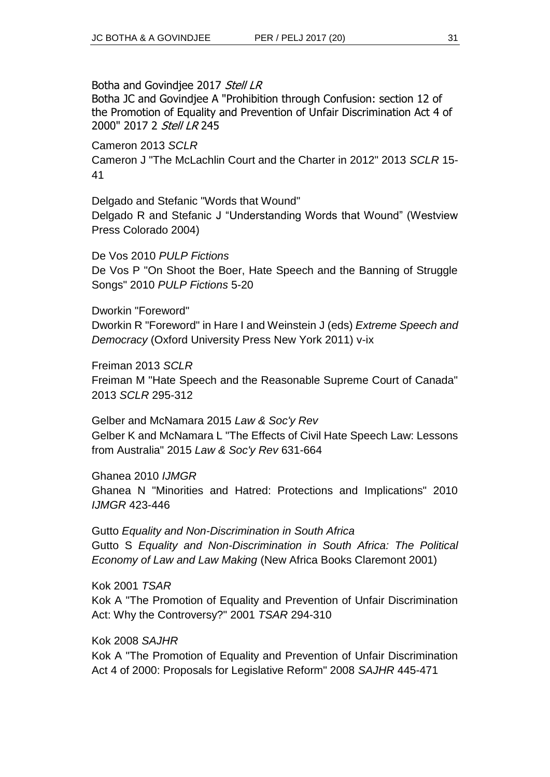Botha and Govindiee 2017 Stell LR

Botha JC and Govindjee A "Prohibition through Confusion: section 12 of the Promotion of Equality and Prevention of Unfair Discrimination Act 4 of 2000" 2017 2 Stell LR 245

Cameron 2013 *SCLR* Cameron J "The McLachlin Court and the Charter in 2012" 2013 *SCLR* 15- 41

Delgado and Stefanic "Words that Wound" Delgado R and Stefanic J "Understanding Words that Wound" (Westview Press Colorado 2004)

De Vos 2010 *PULP Fictions* De Vos P "On Shoot the Boer, Hate Speech and the Banning of Struggle Songs" 2010 *PULP Fictions* 5-20

Dworkin "Foreword" Dworkin R "Foreword" in Hare I and Weinstein J (eds) *Extreme Speech and Democracy* (Oxford University Press New York 2011) v-ix

Freiman 2013 *SCLR* Freiman M "Hate Speech and the Reasonable Supreme Court of Canada" 2013 *SCLR* 295-312

Gelber and McNamara 2015 *Law & Soc'y Rev* Gelber K and McNamara L "The Effects of Civil Hate Speech Law: Lessons from Australia" 2015 *Law & Soc'y Rev* 631-664

Ghanea 2010 *IJMGR* Ghanea N "Minorities and Hatred: Protections and Implications" 2010 *IJMGR* 423-446

Gutto *Equality and Non-Discrimination in South Africa* Gutto S *Equality and Non-Discrimination in South Africa: The Political Economy of Law and Law Making* (New Africa Books Claremont 2001)

Kok 2001 *TSAR* Kok A "The Promotion of Equality and Prevention of Unfair Discrimination Act: Why the Controversy?" 2001 *TSAR* 294-310

Kok 2008 *SAJHR*

Kok A "The Promotion of Equality and Prevention of Unfair Discrimination Act 4 of 2000: Proposals for Legislative Reform" 2008 *SAJHR* 445-471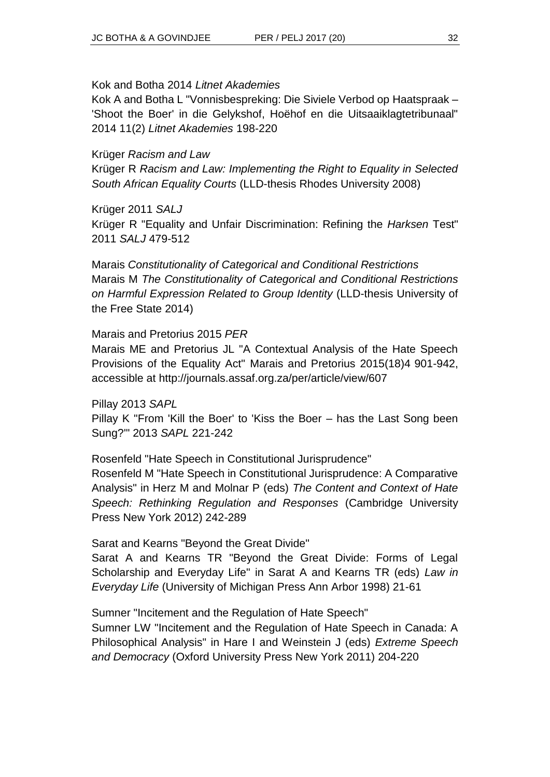#### Kok and Botha 2014 *Litnet Akademies*

Kok A and Botha L "Vonnisbespreking: Die Siviele Verbod op Haatspraak – 'Shoot the Boer' in die Gelykshof, Hoëhof en die Uitsaaiklagtetribunaal" 2014 11(2) *Litnet Akademies* 198-220

#### Krüger *Racism and Law*

Krüger R *Racism and Law: Implementing the Right to Equality in Selected South African Equality Courts* (LLD-thesis Rhodes University 2008)

#### Krüger 2011 *SALJ*

Krüger R "Equality and Unfair Discrimination: Refining the *Harksen* Test" 2011 *SALJ* 479-512

Marais *Constitutionality of Categorical and Conditional Restrictions* Marais M *The Constitutionality of Categorical and Conditional Restrictions on Harmful Expression Related to Group Identity* (LLD-thesis University of the Free State 2014)

#### Marais and Pretorius 2015 *PER*

Marais ME and Pretorius JL "A Contextual Analysis of the Hate Speech Provisions of the Equality Act" Marais and Pretorius 2015(18)4 901-942, accessible at http://journals.assaf.org.za/per/article/view/607

Pillay 2013 *SAPL* Pillay K "From 'Kill the Boer' to 'Kiss the Boer – has the Last Song been Sung?'" 2013 *SAPL* 221-242

Rosenfeld "Hate Speech in Constitutional Jurisprudence" Rosenfeld M "Hate Speech in Constitutional Jurisprudence: A Comparative Analysis" in Herz M and Molnar P (eds) *The Content and Context of Hate Speech: Rethinking Regulation and Responses* (Cambridge University Press New York 2012) 242-289

#### Sarat and Kearns "Beyond the Great Divide"

Sarat A and Kearns TR "Beyond the Great Divide: Forms of Legal Scholarship and Everyday Life" in Sarat A and Kearns TR (eds) *Law in Everyday Life* (University of Michigan Press Ann Arbor 1998) 21-61

Sumner "Incitement and the Regulation of Hate Speech" Sumner LW "Incitement and the Regulation of Hate Speech in Canada: A Philosophical Analysis" in Hare I and Weinstein J (eds) *Extreme Speech and Democracy* (Oxford University Press New York 2011) 204-220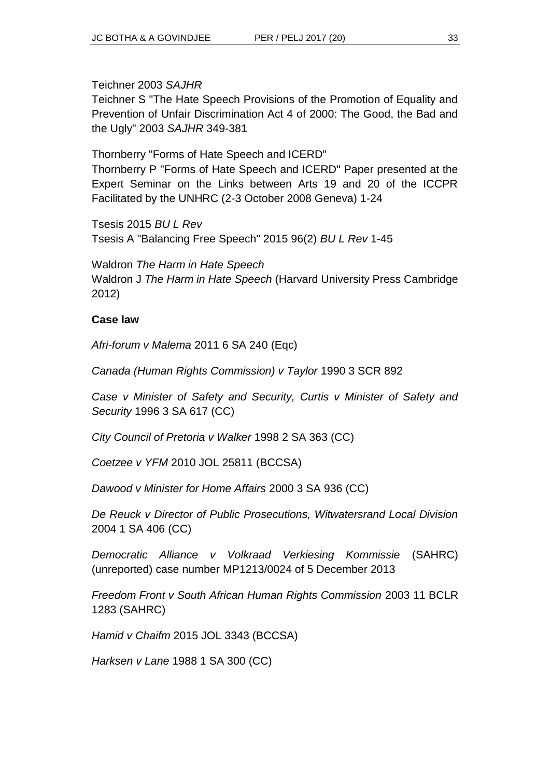Teichner 2003 *SAJHR*

Teichner S "The Hate Speech Provisions of the Promotion of Equality and Prevention of Unfair Discrimination Act 4 of 2000: The Good, the Bad and the Ugly" 2003 *SAJHR* 349-381

Thornberry "Forms of Hate Speech and ICERD" Thornberry P "Forms of Hate Speech and ICERD" Paper presented at the Expert Seminar on the Links between Arts 19 and 20 of the ICCPR Facilitated by the UNHRC (2-3 October 2008 Geneva) 1-24

Tsesis 2015 *BU L Rev* Tsesis A "Balancing Free Speech" 2015 96(2) *BU L Rev* 1-45

Waldron *The Harm in Hate Speech* Waldron J *The Harm in Hate Speech* (Harvard University Press Cambridge 2012)

#### **Case law**

*Afri-forum v Malema* 2011 6 SA 240 (Eqc)

*Canada (Human Rights Commission) v Taylor* 1990 3 SCR 892

*Case v Minister of Safety and Security, Curtis v Minister of Safety and Security* 1996 3 SA 617 (CC)

*City Council of Pretoria v Walker* 1998 2 SA 363 (CC)

*Coetzee v YFM* 2010 JOL 25811 (BCCSA)

*Dawood v Minister for Home Affairs* 2000 3 SA 936 (CC)

*De Reuck v Director of Public Prosecutions, Witwatersrand Local Division*  2004 1 SA 406 (CC)

*Democratic Alliance v Volkraad Verkiesing Kommissie* (SAHRC) (unreported) case number MP1213/0024 of 5 December 2013

*Freedom Front v South African Human Rights Commission* 2003 11 BCLR 1283 (SAHRC)

*Hamid v Chaifm* 2015 JOL 3343 (BCCSA)

*Harksen v Lane* 1988 1 SA 300 (CC)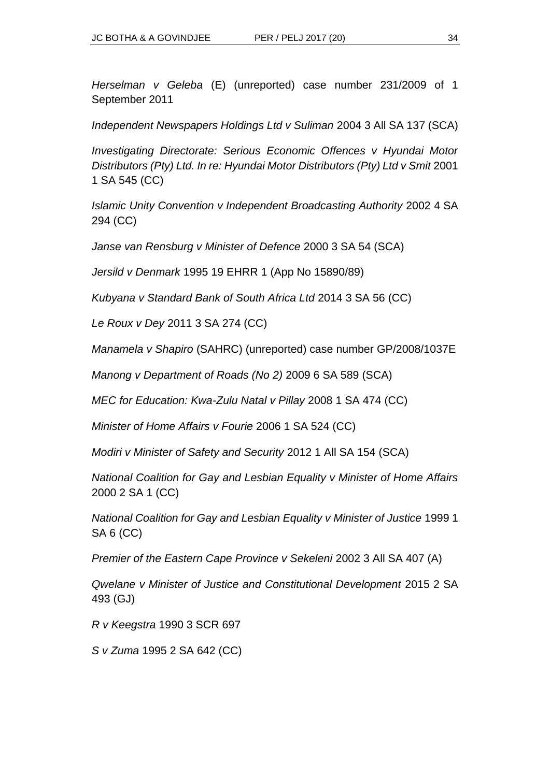*Herselman v Geleba* (E) (unreported) case number 231/2009 of 1 September 2011

*Independent Newspapers Holdings Ltd v Suliman* 2004 3 All SA 137 (SCA)

*Investigating Directorate: Serious Economic Offences v Hyundai Motor Distributors (Pty) Ltd. In re: Hyundai Motor Distributors (Pty) Ltd v Smit 2001* 1 SA 545 (CC)

*Islamic Unity Convention v Independent Broadcasting Authority* 2002 4 SA 294 (CC)

*Janse van Rensburg v Minister of Defence* 2000 3 SA 54 (SCA)

*Jersild v Denmark* 1995 19 EHRR 1 (App No 15890/89)

*Kubyana v Standard Bank of South Africa Ltd* 2014 3 SA 56 (CC)

*Le Roux v Dey* 2011 3 SA 274 (CC)

*Manamela v Shapiro* (SAHRC) (unreported) case number GP/2008/1037E

*Manong v Department of Roads (No 2)* 2009 6 SA 589 (SCA)

*MEC for Education: Kwa-Zulu Natal v Pillay* 2008 1 SA 474 (CC)

*Minister of Home Affairs v Fourie* 2006 1 SA 524 (CC)

*Modiri v Minister of Safety and Security* 2012 1 All SA 154 (SCA)

*National Coalition for Gay and Lesbian Equality v Minister of Home Affairs* 2000 2 SA 1 (CC)

*National Coalition for Gay and Lesbian Equality v Minister of Justice* 1999 1 SA 6 (CC)

*Premier of the Eastern Cape Province v Sekeleni* 2002 3 All SA 407 (A)

*Qwelane v Minister of Justice and Constitutional Development* 2015 2 SA 493 (GJ)

*R v Keegstra* 1990 3 SCR 697

*S v Zuma* 1995 2 SA 642 (CC)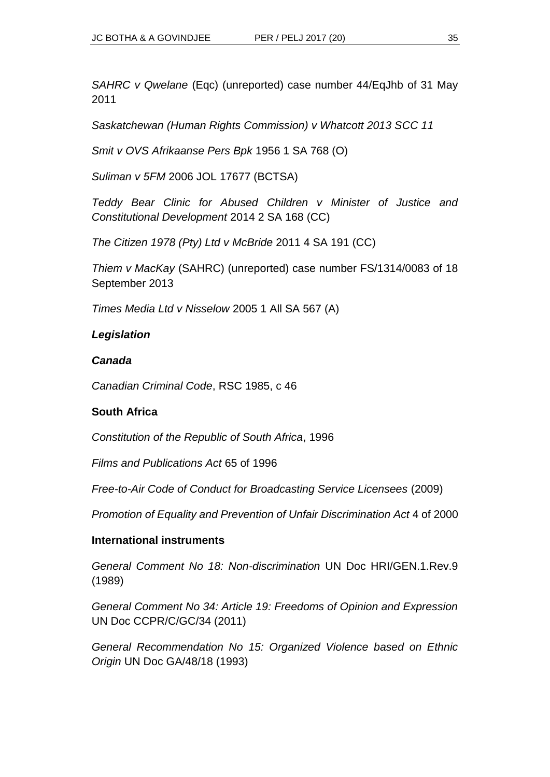*SAHRC v Qwelane* (Eqc) (unreported) case number 44/EqJhb of 31 May 2011

*Saskatchewan (Human Rights Commission) v Whatcott 2013 SCC 11*

*Smit v OVS Afrikaanse Pers Bpk* 1956 1 SA 768 (O)

*Suliman v 5FM* 2006 JOL 17677 (BCTSA)

*Teddy Bear Clinic for Abused Children v Minister of Justice and Constitutional Development* 2014 2 SA 168 (CC)

*The Citizen 1978 (Pty) Ltd v McBride* 2011 4 SA 191 (CC)

*Thiem v MacKay* (SAHRC) (unreported) case number FS/1314/0083 of 18 September 2013

*Times Media Ltd v Nisselow* 2005 1 All SA 567 (A)

#### *Legislation*

#### *Canada*

*Canadian Criminal Code*, RSC 1985, c 46

#### **South Africa**

*Constitution of the Republic of South Africa*, 1996

*Films and Publications Act* 65 of 1996

*Free-to-Air Code of Conduct for Broadcasting Service Licensees* (2009)

*Promotion of Equality and Prevention of Unfair Discrimination Act* 4 of 2000

#### **International instruments**

*General Comment No 18: Non-discrimination* UN Doc HRI/GEN.1.Rev.9 (1989)

*General Comment No 34: Article 19: Freedoms of Opinion and Expression*  UN Doc CCPR/C/GC/34 (2011)

*General Recommendation No 15: Organized Violence based on Ethnic Origin* UN Doc GA/48/18 (1993)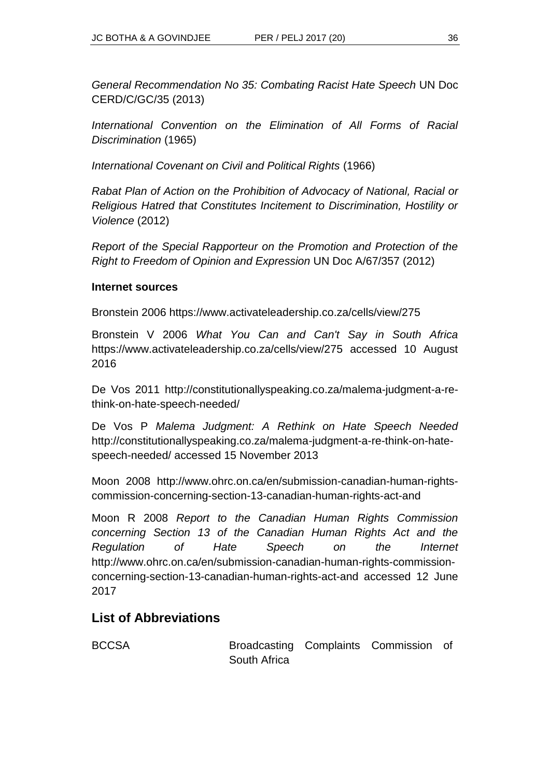*General Recommendation No 35: Combating Racist Hate Speech* UN Doc CERD/C/GC/35 (2013)

*International Convention on the Elimination of All Forms of Racial Discrimination* (1965)

*International Covenant on Civil and Political Rights* (1966)

*Rabat Plan of Action on the Prohibition of Advocacy of National, Racial or Religious Hatred that Constitutes Incitement to Discrimination, Hostility or Violence* (2012)

*Report of the Special Rapporteur on the Promotion and Protection of the Right to Freedom of Opinion and Expression* UN Doc A/67/357 (2012)

#### **Internet sources**

Bronstein 2006 https://www.activateleadership.co.za/cells/view/275

Bronstein V 2006 *What You Can and Can't Say in South Africa* https://www.activateleadership.co.za/cells/view/275 accessed 10 August 2016

De Vos 2011 http://constitutionallyspeaking.co.za/malema-judgment-a-rethink-on-hate-speech-needed/

De Vos P *Malema Judgment: A Rethink on Hate Speech Needed* http://constitutionallyspeaking.co.za/malema-judgment-a-re-think-on-hatespeech-needed/ accessed 15 November 2013

Moon 2008 http://www.ohrc.on.ca/en/submission-canadian-human-rightscommission-concerning-section-13-canadian-human-rights-act-and

Moon R 2008 *Report to the Canadian Human Rights Commission concerning Section 13 of the Canadian Human Rights Act and the Regulation of Hate Speech on the Internet* http://www.ohrc.on.ca/en/submission-canadian-human-rights-commissionconcerning-section-13-canadian-human-rights-act-and accessed 12 June 2017

## **List of Abbreviations**

BCCSA Broadcasting Complaints Commission of South Africa